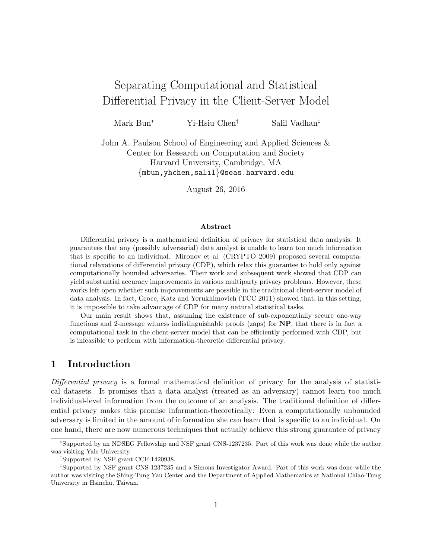# Separating Computational and Statistical Differential Privacy in the Client-Server Model

Mark Bun<sup>∗</sup> Yi-Hsiu Chen<sup>†</sup> Salil Vadhan<sup>‡</sup>

John A. Paulson School of Engineering and Applied Sciences & Center for Research on Computation and Society Harvard University, Cambridge, MA {mbun,yhchen,salil}@seas.harvard.edu

August 26, 2016

#### Abstract

Differential privacy is a mathematical definition of privacy for statistical data analysis. It guarantees that any (possibly adversarial) data analyst is unable to learn too much information that is specific to an individual. Mironov et al. (CRYPTO 2009) proposed several computational relaxations of differential privacy (CDP), which relax this guarantee to hold only against computationally bounded adversaries. Their work and subsequent work showed that CDP can yield substantial accuracy improvements in various multiparty privacy problems. However, these works left open whether such improvements are possible in the traditional client-server model of data analysis. In fact, Groce, Katz and Yerukhimovich (TCC 2011) showed that, in this setting, it is impossible to take advantage of CDP for many natural statistical tasks.

Our main result shows that, assuming the existence of sub-exponentially secure one-way functions and 2-message witness indistinguishable proofs (zaps) for NP, that there is in fact a computational task in the client-server model that can be efficiently performed with CDP, but is infeasible to perform with information-theoretic differential privacy.

## 1 Introduction

Differential privacy is a formal mathematical definition of privacy for the analysis of statistical datasets. It promises that a data analyst (treated as an adversary) cannot learn too much individual-level information from the outcome of an analysis. The traditional definition of differential privacy makes this promise information-theoretically: Even a computationally unbounded adversary is limited in the amount of information she can learn that is specific to an individual. On one hand, there are now numerous techniques that actually achieve this strong guarantee of privacy

<sup>∗</sup>Supported by an NDSEG Fellowship and NSF grant CNS-1237235. Part of this work was done while the author was visiting Yale University.

<sup>†</sup>Supported by NSF grant CCF-1420938.

<sup>‡</sup>Supported by NSF grant CNS-1237235 and a Simons Investigator Award. Part of this work was done while the author was visiting the Shing-Tung Yau Center and the Department of Applied Mathematics at National Chiao-Tung University in Hsinchu, Taiwan.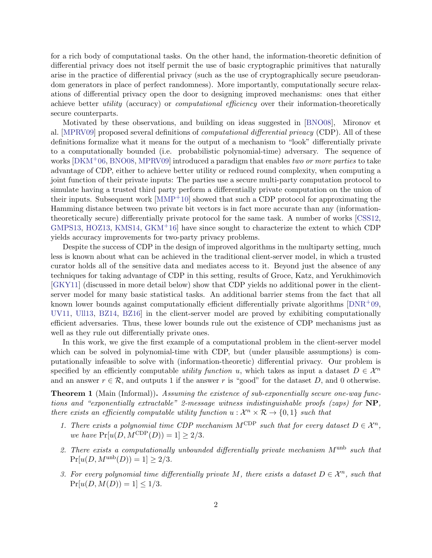for a rich body of computational tasks. On the other hand, the information-theoretic definition of differential privacy does not itself permit the use of basic cryptographic primitives that naturally arise in the practice of differential privacy (such as the use of cryptographically secure pseudorandom generators in place of perfect randomness). More importantly, computationally secure relaxations of differential privacy open the door to designing improved mechanisms: ones that either achieve better *utility* (accuracy) or *computational efficiency* over their information-theoretically secure counterparts.

Motivated by these observations, and building on ideas suggested in [\[BNO08\]](#page-18-0), Mironov et al. [\[MPRV09\]](#page-20-0) proposed several definitions of computational differential privacy (CDP). All of these definitions formalize what it means for the output of a mechanism to "look" differentially private to a computationally bounded (i.e. probabilistic polynomial-time) adversary. The sequence of works [\[DKM](#page-18-1)<sup>+</sup>06, [BNO08,](#page-18-0) [MPRV09\]](#page-20-0) introduced a paradigm that enables two or more parties to take advantage of CDP, either to achieve better utility or reduced round complexity, when computing a joint function of their private inputs: The parties use a secure multi-party computation protocol to simulate having a trusted third party perform a differentially private computation on the union of their inputs. Subsequent work  $[MMP<sup>+10</sup>]$  $[MMP<sup>+10</sup>]$  showed that such a CDP protocol for approximating the Hamming distance between two private bit vectors is in fact more accurate than any (informationtheoretically secure) differentially private protocol for the same task. A number of works [\[CSS12,](#page-18-2) [GMPS13,](#page-19-0) [HOZ13,](#page-20-2) [KMS14,](#page-20-3) [GKM](#page-19-1)<sup>+</sup>16 have since sought to characterize the extent to which CDP yields accuracy improvements for two-party privacy problems.

Despite the success of CDP in the design of improved algorithms in the multiparty setting, much less is known about what can be achieved in the traditional client-server model, in which a trusted curator holds all of the sensitive data and mediates access to it. Beyond just the absence of any techniques for taking advantage of CDP in this setting, results of Groce, Katz, and Yerukhimovich [\[GKY11\]](#page-19-2) (discussed in more detail below) show that CDP yields no additional power in the clientserver model for many basic statistical tasks. An additional barrier stems from the fact that all known lower bounds against computationally efficient differentially private algorithms  $[DNR^+09,$  $[DNR^+09,$ [UV11,](#page-20-4) [Ull13,](#page-20-5) [BZ14,](#page-18-3) [BZ16\]](#page-18-4) in the client-server model are proved by exhibiting computationally efficient adversaries. Thus, these lower bounds rule out the existence of CDP mechanisms just as well as they rule out differentially private ones.

In this work, we give the first example of a computational problem in the client-server model which can be solved in polynomial-time with CDP, but (under plausible assumptions) is computationally infeasible to solve with (information-theoretic) differential privacy. Our problem is specified by an efficiently computable *utility function* u, which takes as input a dataset  $D \in \mathcal{X}^n$ and an answer  $r \in \mathcal{R}$ , and outputs 1 if the answer r is "good" for the dataset D, and 0 otherwise.

**Theorem 1** (Main (Informal)). Assuming the existence of sub-exponentially secure one-way functions and "exponentially extractable" 2-message witness indistinguishable proofs (zaps) for  $NP$ , there exists an efficiently computable utility function  $u : \mathcal{X}^n \times \mathcal{R} \to \{0,1\}$  such that

- 1. There exists a polynomial time CDP mechanism  $M^{\text{CDP}}$  such that for every dataset  $D \in \mathcal{X}^n$ , we have  $Pr[u(D, M^{CDP}(D)) = 1] > 2/3$ .
- 2. There exists a computationally unbounded differentially private mechanism  $M<sup>unb</sup>$  such that  $Pr[u(D, M^{\text{unb}}(D)) = 1] \geq 2/3.$
- 3. For every polynomial time differentially private M, there exists a dataset  $D \in \mathcal{X}^n$ , such that  $Pr[u(D, M(D)) = 1] \leq 1/3.$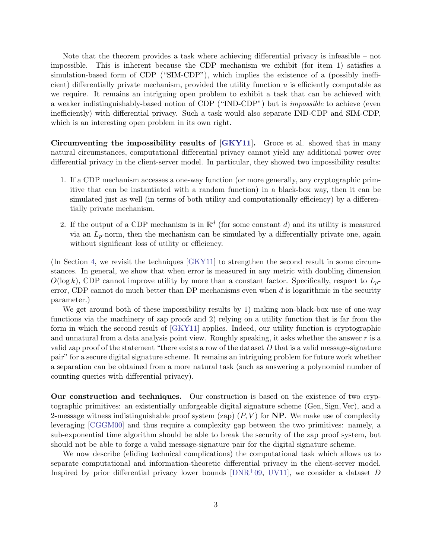Note that the theorem provides a task where achieving differential privacy is infeasible – not impossible. This is inherent because the CDP mechanism we exhibit (for item 1) satisfies a simulation-based form of CDP ("SIM-CDP"), which implies the existence of a (possibly inefficient) differentially private mechanism, provided the utility function  $u$  is efficiently computable as we require. It remains an intriguing open problem to exhibit a task that can be achieved with a weaker indistinguishably-based notion of CDP ("IND-CDP") but is impossible to achieve (even inefficiently) with differential privacy. Such a task would also separate IND-CDP and SIM-CDP, which is an interesting open problem in its own right.

Circumventing the impossibility results of [\[GKY11\]](#page-19-2). Groce et al. showed that in many natural circumstances, computational differential privacy cannot yield any additional power over differential privacy in the client-server model. In particular, they showed two impossibility results:

- 1. If a CDP mechanism accesses a one-way function (or more generally, any cryptographic primitive that can be instantiated with a random function) in a black-box way, then it can be simulated just as well (in terms of both utility and computationally efficiency) by a differentially private mechanism.
- 2. If the output of a CDP mechanism is in  $\mathbb{R}^d$  (for some constant d) and its utility is measured via an  $L_p$ -norm, then the mechanism can be simulated by a differentially private one, again without significant loss of utility or efficiency.

(In Section [4,](#page-15-0) we revisit the techniques [\[GKY11\]](#page-19-2) to strengthen the second result in some circumstances. In general, we show that when error is measured in any metric with doubling dimension  $O(\log k)$ , CDP cannot improve utility by more than a constant factor. Specifically, respect to  $L_p$ error, CDP cannot do much better than DP mechanisms even when  $d$  is logarithmic in the security parameter.)

We get around both of these impossibility results by 1) making non-black-box use of one-way functions via the machinery of zap proofs and 2) relying on a utility function that is far from the form in which the second result of [\[GKY11\]](#page-19-2) applies. Indeed, our utility function is cryptographic and unnatural from a data analysis point view. Roughly speaking, it asks whether the answer r is a valid zap proof of the statement "there exists a row of the dataset  $D$  that is a valid message-signature pair" for a secure digital signature scheme. It remains an intriguing problem for future work whether a separation can be obtained from a more natural task (such as answering a polynomial number of counting queries with differential privacy).

Our construction and techniques. Our construction is based on the existence of two cryptographic primitives: an existentially unforgeable digital signature scheme (Gen, Sign, Ver), and a 2-message witness indistinguishable proof system (zap)  $(P, V)$  for **NP**. We make use of complexity leveraging [\[CGGM00\]](#page-18-5) and thus require a complexity gap between the two primitives: namely, a sub-exponential time algorithm should be able to break the security of the zap proof system, but should not be able to forge a valid message-signature pair for the digital signature scheme.

We now describe (eliding technical complications) the computational task which allows us to separate computational and information-theoretic differential privacy in the client-server model. Inspired by prior differential privacy lower bounds [\[DNR](#page-19-3)+09, [UV11\]](#page-20-4), we consider a dataset  $D$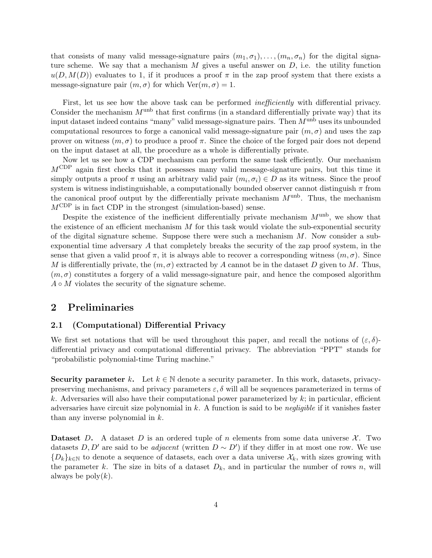that consists of many valid message-signature pairs  $(m_1, \sigma_1), \ldots, (m_n, \sigma_n)$  for the digital signature scheme. We say that a mechanism  $M$  gives a useful answer on  $D$ , i.e. the utility function  $u(D, M(D))$  evaluates to 1, if it produces a proof  $\pi$  in the zap proof system that there exists a message-signature pair  $(m, \sigma)$  for which  $\text{Ver}(m, \sigma) = 1$ .

First, let us see how the above task can be performed *inefficiently* with differential privacy. Consider the mechanism  $M<sup>umb</sup>$  that first confirms (in a standard differentially private way) that its input dataset indeed contains "many" valid message-signature pairs. Then  $M<sup>unb</sup>$  uses its unbounded computational resources to forge a canonical valid message-signature pair  $(m, \sigma)$  and uses the zap prover on witness  $(m, \sigma)$  to produce a proof  $\pi$ . Since the choice of the forged pair does not depend on the input dataset at all, the procedure as a whole is differentially private.

Now let us see how a CDP mechanism can perform the same task efficiently. Our mechanism  $M^{\text{CDP}}$  again first checks that it possesses many valid message-signature pairs, but this time it simply outputs a proof  $\pi$  using an arbitrary valid pair  $(m_i, \sigma_i) \in D$  as its witness. Since the proof system is witness indistinguishable, a computationally bounded observer cannot distinguish  $\pi$  from the canonical proof output by the differentially private mechanism  $M<sup>umb</sup>$ . Thus, the mechanism  $M^{\text{CDP}}$  is in fact CDP in the strongest (simulation-based) sense.

Despite the existence of the inefficient differentially private mechanism  $M<sup>umb</sup>$ , we show that the existence of an efficient mechanism  $M$  for this task would violate the sub-exponential security of the digital signature scheme. Suppose there were such a mechanism  $M$ . Now consider a subexponential time adversary A that completely breaks the security of the zap proof system, in the sense that given a valid proof  $\pi$ , it is always able to recover a corresponding witness  $(m, \sigma)$ . Since M is differentially private, the  $(m, \sigma)$  extracted by A cannot be in the dataset D given to M. Thus,  $(m, \sigma)$  constitutes a forgery of a valid message-signature pair, and hence the composed algorithm  $A \circ M$  violates the security of the signature scheme.

## 2 Preliminaries

### 2.1 (Computational) Differential Privacy

We first set notations that will be used throughout this paper, and recall the notions of  $(\varepsilon, \delta)$ differential privacy and computational differential privacy. The abbreviation "PPT" stands for "probabilistic polynomial-time Turing machine."

**Security parameter k.** Let  $k \in \mathbb{N}$  denote a security parameter. In this work, datasets, privacypreserving mechanisms, and privacy parameters  $\varepsilon$ ,  $\delta$  will all be sequences parameterized in terms of k. Adversaries will also have their computational power parameterized by  $k$ ; in particular, efficient adversaries have circuit size polynomial in k. A function is said to be negligible if it vanishes faster than any inverse polynomial in  $k$ .

**Dataset** D. A dataset D is an ordered tuple of n elements from some data universe  $\mathcal{X}$ . Two datasets  $D, D'$  are said to be *adjacent* (written  $D \sim D'$ ) if they differ in at most one row. We use  ${D_k}_{k\in\mathbb{N}}$  to denote a sequence of datasets, each over a data universe  $\mathcal{X}_k$ , with sizes growing with the parameter k. The size in bits of a dataset  $D_k$ , and in particular the number of rows n, will always be  $\text{poly}(k)$ .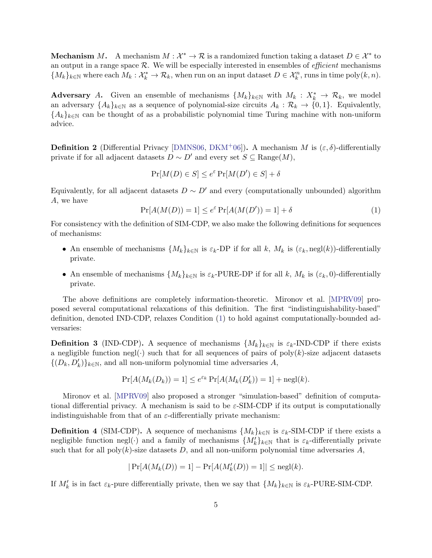**Mechanism** M. A mechanism  $M : \mathcal{X}^* \to \mathcal{R}$  is a randomized function taking a dataset  $D \in \mathcal{X}^*$  to an output in a range space  $\mathcal{R}$ . We will be especially interested in ensembles of *efficient* mechanisms  ${M_k}_{k\in\mathbb{N}}$  where each  $M_k: \mathcal{X}_k^* \to \mathcal{R}_k$ , when run on an input dataset  $D \in \mathcal{X}_k^n$ , runs in time  $\text{poly}(k,n)$ .

Adversary A. Given an ensemble of mechanisms  $\{M_k\}_{k\in\mathbb{N}}$  with  $M_k: X_k^* \to \mathcal{R}_k$ , we model an adversary  $\{A_k\}_{k\in\mathbb{N}}$  as a sequence of polynomial-size circuits  $A_k : \mathcal{R}_k \to \{0,1\}$ . Equivalently,  ${A_k}_{k\in\mathbb{N}}$  can be thought of as a probabilistic polynomial time Turing machine with non-uniform advice.

**Definition 2** (Differential Privacy [\[DMNS06,](#page-19-4) [DKM](#page-18-1)<sup>+</sup>06]). A mechanism M is  $(\varepsilon, \delta)$ -differentially private if for all adjacent datasets  $D \sim D'$  and every set  $S \subseteq \text{Range}(M)$ ,

$$
\Pr[M(D) \in S] \le e^{\varepsilon} \Pr[M(D') \in S] + \delta
$$

Equivalently, for all adjacent datasets  $D \sim D'$  and every (computationally unbounded) algorithm A, we have

<span id="page-4-0"></span>
$$
\Pr[A(M(D)) = 1] \le e^{\varepsilon} \Pr[A(M(D')) = 1] + \delta \tag{1}
$$

For consistency with the definition of SIM-CDP, we also make the following definitions for sequences of mechanisms:

- An ensemble of mechanisms  $\{M_k\}_{k\in\mathbb{N}}$  is  $\varepsilon_k$ -DP if for all k,  $M_k$  is  $(\varepsilon_k$ , negl $(k)$ )-differentially private.
- An ensemble of mechanisms  $\{M_k\}_{k\in\mathbb{N}}$  is  $\varepsilon_k$ -PURE-DP if for all k,  $M_k$  is  $(\varepsilon_k, 0)$ -differentially private.

The above definitions are completely information-theoretic. Mironov et al. [\[MPRV09\]](#page-20-0) proposed several computational relaxations of this definition. The first "indistinguishability-based" definition, denoted IND-CDP, relaxes Condition [\(1\)](#page-4-0) to hold against computationally-bounded adversaries:

**Definition 3** (IND-CDP). A sequence of mechanisms  $\{M_k\}_{k\in\mathbb{N}}$  is  $\varepsilon_k$ -IND-CDP if there exists a negligible function negl( $\cdot$ ) such that for all sequences of pairs of poly(k)-size adjacent datasets  $\{(D_k, D'_k)\}_{k \in \mathbb{N}}$ , and all non-uniform polynomial time adversaries A,

$$
\Pr[A(M_k(D_k)) = 1] \le e^{\varepsilon_k} \Pr[A(M_k(D'_k)) = 1] + \operatorname{negl}(k).
$$

Mironov et al. [\[MPRV09\]](#page-20-0) also proposed a stronger "simulation-based" definition of computational differential privacy. A mechanism is said to be  $\varepsilon$ -SIM-CDP if its output is computationally indistinguishable from that of an  $\varepsilon$ -differentially private mechanism:

**Definition 4** (SIM-CDP). A sequence of mechanisms  $\{M_k\}_{k\in\mathbb{N}}$  is  $\varepsilon_k$ -SIM-CDP if there exists a negligible function negl( $\cdot$ ) and a family of mechanisms  $\{M'_k\}_{k\in\mathbb{N}}$  that is  $\varepsilon_k$ -differentially private such that for all  $poly(k)$ -size datasets D, and all non-uniform polynomial time adversaries A,

$$
|\Pr[A(M_k(D)) = 1] - \Pr[A(M'_k(D)) = 1]| \leq \text{negl}(k).
$$

If  $M'_k$  is in fact  $\varepsilon_k$ -pure differentially private, then we say that  $\{M_k\}_{k\in\mathbb{N}}$  is  $\varepsilon_k$ -PURE-SIM-CDP.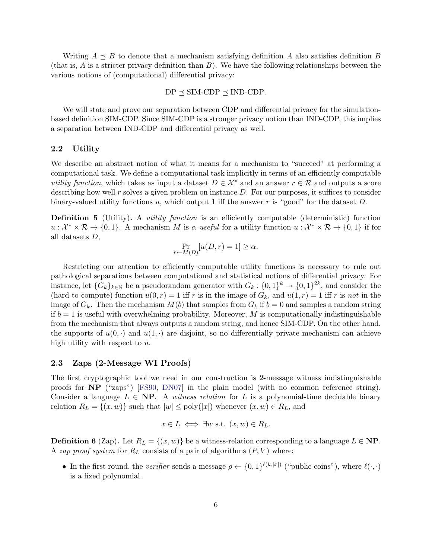Writing  $A \preceq B$  to denote that a mechanism satisfying definition A also satisfies definition B (that is,  $A$  is a stricter privacy definition than  $B$ ). We have the following relationships between the various notions of (computational) differential privacy:

#### $DP \preceq SIM-CDP \preceq IND-CDP$ .

We will state and prove our separation between CDP and differential privacy for the simulationbased definition SIM-CDP. Since SIM-CDP is a stronger privacy notion than IND-CDP, this implies a separation between IND-CDP and differential privacy as well.

### 2.2 Utility

We describe an abstract notion of what it means for a mechanism to "succeed" at performing a computational task. We define a computational task implicitly in terms of an efficiently computable utility function, which takes as input a dataset  $D \in \mathcal{X}^*$  and an answer  $r \in \mathcal{R}$  and outputs a score describing how well  $r$  solves a given problem on instance  $D$ . For our purposes, it suffices to consider binary-valued utility functions u, which output 1 iff the answer r is "good" for the dataset  $D$ .

**Definition 5** (Utility). A *utility function* is an efficiently computable (deterministic) function  $u: \mathcal{X}^* \times \mathcal{R} \to \{0,1\}.$  A mechanism M is  $\alpha$ -useful for a utility function  $u: \mathcal{X}^* \times \mathcal{R} \to \{0,1\}$  if for all datasets D,

$$
\Pr_{r \leftarrow M(D)}[u(D,r) = 1] \ge \alpha.
$$

Restricting our attention to efficiently computable utility functions is necessary to rule out pathological separations between computational and statistical notions of differential privacy. For instance, let  $\{G_k\}_{k\in\mathbb{N}}$  be a pseudorandom generator with  $G_k: \{0,1\}^k \to \{0,1\}^{2k}$ , and consider the (hard-to-compute) function  $u(0, r) = 1$  iff r is in the image of  $G_k$ , and  $u(1, r) = 1$  iff r is not in the image of  $G_k$ . Then the mechanism  $M(b)$  that samples from  $G_k$  if  $b = 0$  and samples a random string if  $b = 1$  is useful with overwhelming probability. Moreover, M is computationally indistinguishable from the mechanism that always outputs a random string, and hence SIM-CDP. On the other hand, the supports of  $u(0, \cdot)$  and  $u(1, \cdot)$  are disjoint, so no differentially private mechanism can achieve high utility with respect to  $u$ .

### 2.3 Zaps (2-Message WI Proofs)

The first cryptographic tool we need in our construction is 2-message witness indistinguishable proofs for NP ("zaps") [\[FS90,](#page-19-5) [DN07\]](#page-19-6) in the plain model (with no common reference string). Consider a language  $L \in \mathbf{NP}$ . A witness relation for L is a polynomial-time decidable binary relation  $R_L = \{(x, w)\}\$  such that  $|w| \leq \text{poly}(|x|)$  whenever  $(x, w) \in R_L$ , and

$$
x \in L \iff \exists w \text{ s.t. } (x, w) \in R_L.
$$

<span id="page-5-0"></span>**Definition 6** (Zap). Let  $R_L = \{(x, w)\}\$  be a witness-relation corresponding to a language  $L \in \mathbf{NP}$ . A zap proof system for  $R_L$  consists of a pair of algorithms  $(P, V)$  where:

• In the first round, the verifier sends a message  $\rho \leftarrow \{0,1\}^{\ell(k,|x|)}$  ("public coins"), where  $\ell(\cdot, \cdot)$ is a fixed polynomial.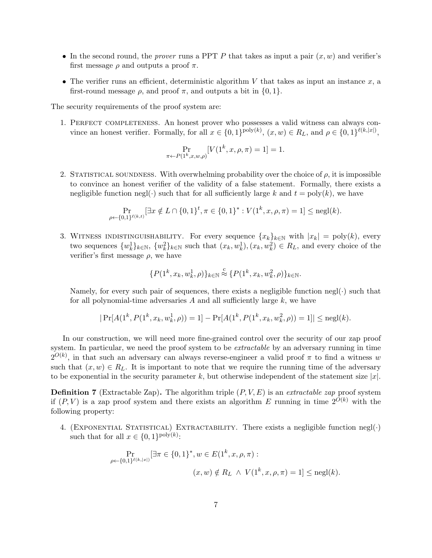- In the second round, the prover runs a PPT P that takes as input a pair  $(x, w)$  and verifier's first message  $\rho$  and outputs a proof  $\pi$ .
- The verifier runs an efficient, deterministic algorithm V that takes as input an instance  $x$ , a first-round message  $\rho$ , and proof  $\pi$ , and outputs a bit in  $\{0, 1\}$ .

The security requirements of the proof system are:

1. Perfect completeness. An honest prover who possesses a valid witness can always convince an honest verifier. Formally, for all  $x \in \{0,1\}^{\text{poly}(k)}$ ,  $(x, w) \in R_L$ , and  $\rho \in \{0,1\}^{\ell(k, |x|)}$ ,

$$
\Pr_{\pi \leftarrow P(1^k, x, w, \rho)} [V(1^k, x, \rho, \pi) = 1] = 1.
$$

2. STATISTICAL SOUNDNESS. With overwhelming probability over the choice of  $\rho$ , it is impossible to convince an honest verifier of the validity of a false statement. Formally, there exists a negligible function negl( $\cdot$ ) such that for all sufficiently large k and  $t = \text{poly}(k)$ , we have

$$
\Pr_{\rho \leftarrow \{0,1\}^{\ell(k,t)}}[\exists x \notin L \cap \{0,1\}^t, \pi \in \{0,1\}^* : V(1^k, x, \rho, \pi) = 1] \leq \text{negl}(k).
$$

3. WITNESS INDISTINGUISHABILITY. For every sequence  ${x_k}_{k\in\mathbb{N}}$  with  $|x_k| = \text{poly}(k)$ , every two sequences  $\{w_k^1\}_{k\in\mathbb{N}}$ ,  $\{w_k^2\}_{k\in\mathbb{N}}$  such that  $(x_k, w_k^1), (x_k, w_k^2) \in R_L$ , and every choice of the verifier's first message  $\rho$ , we have

$$
\{P(1^k, x_k, w_k^1, \rho)\}_{k \in \mathbb{N}} \stackrel{\text{c}}{\approx} \{P(1^k, x_k, w_k^2, \rho)\}_{k \in \mathbb{N}}.
$$

Namely, for every such pair of sequences, there exists a negligible function negl( $\cdot$ ) such that for all polynomial-time adversaries  $A$  and all sufficiently large  $k$ , we have

$$
|\Pr[A(1^k, P(1^k, x_k, w_k^1, \rho)) = 1] - \Pr[A(1^k, P(1^k, x_k, w_k^2, \rho)) = 1]| \leq \text{negl}(k).
$$

In our construction, we will need more fine-grained control over the security of our zap proof system. In particular, we need the proof system to be *extractable* by an adversary running in time  $2^{O(k)}$ , in that such an adversary can always reverse-engineer a valid proof  $\pi$  to find a witness w such that  $(x, w) \in R_L$ . It is important to note that we require the running time of the adversary to be exponential in the security parameter k, but otherwise independent of the statement size  $|x|$ .

<span id="page-6-0"></span>**Definition 7** (Extractable Zap). The algorithm triple  $(P, V, E)$  is an extractable zap proof system if  $(P, V)$  is a zap proof system and there exists an algorithm E running in time  $2^{\tilde{O}(k)}$  with the following property:

4. (EXPONENTIAL STATISTICAL) EXTRACTABILITY. There exists a negligible function  $negl(\cdot)$ such that for all  $x \in \{0,1\}^{\text{poly}(k)}$ :

$$
\Pr_{\rho \leftarrow \{0,1\}^{\ell(k,|x|)} } [\exists \pi \in \{0,1\}^*, w \in E(1^k, x, \rho, \pi) :(x, w) \notin R_L \ \wedge \ V(1^k, x, \rho, \pi) = 1] \leq \text{negl}(k).
$$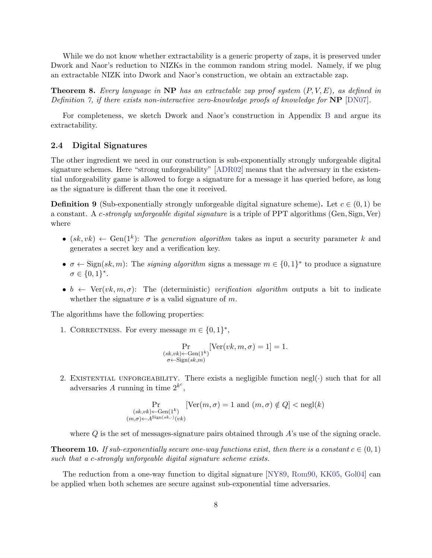While we do not know whether extractability is a generic property of zaps, it is preserved under Dwork and Naor's reduction to NIZKs in the common random string model. Namely, if we plug an extractable NIZK into Dwork and Naor's construction, we obtain an extractable zap.

**Theorem 8.** Every language in  $NP$  has an extractable zap proof system  $(P, V, E)$ , as defined in Definition [7,](#page-6-0) if there exists non-interactive zero-knowledge proofs of knowledge for  $NP$  [\[DN07\]](#page-19-6).

For completeness, we sketch Dwork and Naor's construction in Appendix [B](#page-22-0) and argue its extractability.

## 2.4 Digital Signatures

The other ingredient we need in our construction is sub-exponentially strongly unforgeable digital signature schemes. Here "strong unforgeability" [\[ADR02\]](#page-18-6) means that the adversary in the existential unforgeability game is allowed to forge a signature for a message it has queried before, as long as the signature is different than the one it received.

<span id="page-7-0"></span>**Definition 9** (Sub-exponentially strongly unforgeable digital signature scheme). Let  $c \in (0, 1)$  be a constant. A c-strongly unforgeable digital signature is a triple of PPT algorithms (Gen, Sign, Ver) where

- $(sk, vk) \leftarrow Gen(1^k)$ : The *generation algorithm* takes as input a security parameter k and generates a secret key and a verification key.
- $\sigma \leftarrow \text{Sign}(sk, m)$ : The *signing algorithm* signs a message  $m \in \{0, 1\}^*$  to produce a signature  $\sigma \in \{0,1\}^*.$
- $b \leftarrow \text{Ver}(vk, m, \sigma)$ : The (deterministic) verification algorithm outputs a bit to indicate whether the signature  $\sigma$  is a valid signature of m.

The algorithms have the following properties:

1. CORRECTNESS. For every message  $m \in \{0,1\}^*,$ 

Pr  $(sk, vk) \leftarrow$ Gen $(1^k)$  $\sigma \leftarrow \text{Sign}(sk,m)$  $[\text{Ver}(vk, m, \sigma) = 1] = 1.$ 

2. EXISTENTIAL UNFORGEABILITY. There exists a negligible function negl( $\cdot$ ) such that for all adversaries A running in time  $2^{k^c}$ ,

$$
\Pr_{\substack{(sk, vk) \leftarrow \text{Gen}(1^k) \\ (m,\sigma) \leftarrow A^{\text{Sign}(sk,\cdot)}(vk)}} [\text{Ver}(m,\sigma) = 1 \text{ and } (m,\sigma) \notin Q] < \text{negl}(k)
$$

where  $Q$  is the set of messages-signature pairs obtained through  $A$ 's use of the signing oracle.

**Theorem 10.** If sub-exponentially secure one-way functions exist, then there is a constant  $c \in (0,1)$ such that a c-strongly unforgeable digital signature scheme exists.

The reduction from a one-way function to digital signature [\[NY89,](#page-20-6) [Rom90,](#page-20-7) [KK05,](#page-20-8) [Gol04\]](#page-20-9) can be applied when both schemes are secure against sub-exponential time adversaries.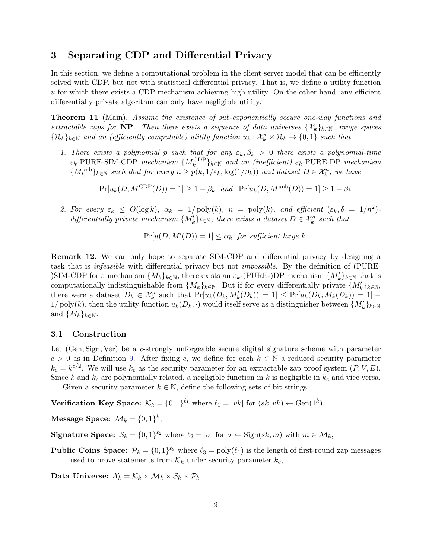## 3 Separating CDP and Differential Privacy

In this section, we define a computational problem in the client-server model that can be efficiently solved with CDP, but not with statistical differential privacy. That is, we define a utility function  $u$  for which there exists a CDP mechanism achieving high utility. On the other hand, any efficient differentially private algorithm can only have negligible utility.

Theorem 11 (Main). Assume the existence of sub-exponentially secure one-way functions and extractable zaps for NP. Then there exists a sequence of data universes  $\{\mathcal{X}_k\}_{k\in\mathbb{N}}$ , range spaces  $\{\mathcal{R}_k\}_{k\in\mathbb{N}}$  and an (efficiently computable) utility function  $u_k: \mathcal{X}_k^* \times \mathcal{R}_k \to \{0,1\}$  such that

1. There exists a polynomial p such that for any  $\varepsilon_k, \beta_k > 0$  there exists a polynomial-time  $\varepsilon_k$ -PURE-SIM-CDP mechanism  $\{M_k^{\text{CDP}}\}_{k\in\mathbb{N}}$  and an (inefficient)  $\varepsilon_k$ -PURE-DP mechanism  ${M_k^{\text{unb}}}_{k \in \mathbb{N}}$  such that for every  $n \geq p(k, 1/\varepsilon_k, \log(1/\beta_k))$  and dataset  $D \in \mathcal{X}_k^n$ , we have

 $Pr[u_k(D, M^{\text{CDP}}(D)) = 1] \ge 1 - \beta_k$  and  $Pr[u_k(D, M^{\text{unb}}(D)) = 1] \ge 1 - \beta_k$ 

2. For every  $\varepsilon_k \leq O(\log k)$ ,  $\alpha_k = 1/\text{poly}(k)$ ,  $n = \text{poly}(k)$ , and efficient  $(\varepsilon_k, \delta = 1/n^2)$ . differentially private mechanism  $\{M'_k\}_{k\in\mathbb{N}}$ , there exists a dataset  $D \in \mathcal{X}_k^n$  such that

$$
Pr[u(D, M'(D)) = 1] \le \alpha_k \text{ for sufficient large } k.
$$

Remark 12. We can only hope to separate SIM-CDP and differential privacy by designing a task that is infeasible with differential privacy but not impossible. By the definition of (PURE- )SIM-CDP for a mechanism  $\{M_k\}_{k\in\mathbb{N}}$ , there exists an  $\varepsilon_k$ -(PURE-)DP mechanism  $\{M'_k\}_{k\in\mathbb{N}}$  that is computationally indistinguishable from  $\{M_k\}_{k\in\mathbb{N}}$ . But if for every differentially private  $\{M'_k\}_{k\in\mathbb{N}}$ , there were a dataset  $D_k \in \mathcal{X}_k^n$  such that  $Pr[u_k(D_k, M'_k(D_k)) = 1] \le Pr[u_k(D_k, M_k(D_k)) = 1]$  - $1/\text{poly}(k)$ , then the utility function  $u_k(D_k, \cdot)$  would itself serve as a distinguisher between  $\{M'_k\}_{k\in\mathbb{N}}$ and  $\{M_k\}_{k\in\mathbb{N}}$ .

### 3.1 Construction

Let (Gen, Sign, Ver) be a c-strongly unforgeable secure digital signature scheme with parameter  $c > 0$  as in Definition [9.](#page-7-0) After fixing c, we define for each  $k \in \mathbb{N}$  a reduced security parameter  $k_c = k^{c/2}$ . We will use  $k_c$  as the security parameter for an extractable zap proof system  $(P, V, E)$ . Since k and  $k_c$  are polynomially related, a negligible function in k is negligible in  $k_c$  and vice versa.

Given a security parameter  $k \in \mathbb{N}$ , define the following sets of bit strings:

**Verification Key Space:**  $\mathcal{K}_k = \{0, 1\}^{\ell_1}$  where  $\ell_1 = |vk|$  for  $(sk, vk) \leftarrow \text{Gen}(1^k)$ ,

 $\textbf{Message Space: } \mathcal{M}_k = \{0, 1\}^k,$ 

**Signature Space:**  $S_k = \{0,1\}^{\ell_2}$  where  $\ell_2 = |\sigma|$  for  $\sigma \leftarrow \text{Sign}(sk, m)$  with  $m \in \mathcal{M}_k$ ,

**Public Coins Space:**  $\mathcal{P}_k = \{0, 1\}^{\ell_3}$  where  $\ell_3 = \text{poly}(\ell_1)$  is the length of first-round zap messages used to prove statements from  $\mathcal{K}_k$  under security parameter  $k_c$ ,

Data Universe:  $\mathcal{X}_k = \mathcal{K}_k \times \mathcal{M}_k \times \mathcal{S}_k \times \mathcal{P}_k$ .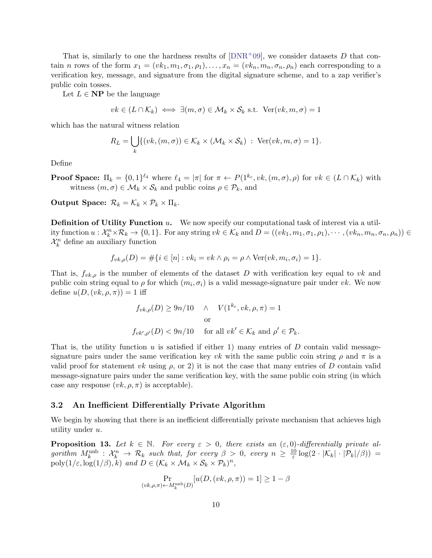That is, similarly to one the hardness results of  $[DNR^+09]$  $[DNR^+09]$ , we consider datasets D that contain n rows of the form  $x_1 = (vk_1, m_1, \sigma_1, \rho_1), \ldots, x_n = (vk_n, m_n, \sigma_n, \rho_n)$  each corresponding to a verification key, message, and signature from the digital signature scheme, and to a zap verifier's public coin tosses.

Let  $L \in \mathbf{NP}$  be the language

$$
vk \in (L \cap \mathcal{K}_k) \iff \exists (m, \sigma) \in \mathcal{M}_k \times \mathcal{S}_k \text{ s.t. } \text{Ver}(vk, m, \sigma) = 1
$$

which has the natural witness relation

$$
R_L = \bigcup_k \{ (vk, (m, \sigma)) \in \mathcal{K}_k \times (\mathcal{M}_k \times \mathcal{S}_k) : \text{Ver}(vk, m, \sigma) = 1 \}.
$$

Define

**Proof Space:**  $\Pi_k = \{0,1\}^{\ell_4}$  where  $\ell_4 = |\pi|$  for  $\pi \leftarrow P(1^{k_c}, vk, (m, \sigma), \rho)$  for  $vk \in (L \cap \mathcal{K}_k)$  with witness  $(m, \sigma) \in \mathcal{M}_k \times \mathcal{S}_k$  and public coins  $\rho \in \mathcal{P}_k$ , and

Output Space:  $\mathcal{R}_k = \mathcal{K}_k \times \mathcal{P}_k \times \Pi_k$ .

**Definition of Utility Function**  $u$ **.** We now specify our computational task of interest via a utility function  $u: \mathcal{X}_k^n \times \mathcal{R}_k \to \{0, 1\}$ . For any string  $vk \in \mathcal{K}_k$  and  $D = ((vk_1, m_1, \sigma_1, \rho_1), \cdots, (vk_n, m_n, \sigma_n, \rho_n)) \in$  $\mathcal{X}_k^n$  define an auxiliary function

$$
f_{vk,\rho}(D) = #\{i \in [n] : vk_i = vk \land \rho_i = \rho \land \text{Ver}(vk, m_i, \sigma_i) = 1\}.
$$

That is,  $f_{vk,\rho}$  is the number of elements of the dataset D with verification key equal to vk and public coin string equal to  $\rho$  for which  $(m_i, \sigma_i)$  is a valid message-signature pair under vk. We now define  $u(D,(vk,\rho,\pi))=1$  iff

$$
f_{vk,\rho}(D) \ge 9n/10 \quad \wedge \quad V(1^{k_c}, vk, \rho, \pi) = 1
$$
  
or  

$$
f_{vk',\rho'}(D) < 9n/10 \quad \text{for all } vk' \in \mathcal{K}_k \text{ and } \rho' \in \mathcal{P}_k.
$$

That is, the utility function  $u$  is satisfied if either 1) many entries of  $D$  contain valid messagesignature pairs under the same verification key vk with the same public coin string  $\rho$  and  $\pi$  is a valid proof for statement vk using  $\rho$ , or 2) it is not the case that many entries of D contain valid message-signature pairs under the same verification key, with the same public coin string (in which case any response  $(vk, \rho, \pi)$  is acceptable).

### 3.2 An Inefficient Differentially Private Algorithm

We begin by showing that there is an inefficient differentially private mechanism that achieves high utility under u.

<span id="page-9-0"></span>**Proposition 13.** Let  $k \in \mathbb{N}$ . For every  $\varepsilon > 0$ , there exists an  $(\varepsilon, 0)$ -differentially private algorithm  $M_k^{\text{unb}}$  :  $\mathcal{X}_k^n$   $\to$   $\mathcal{R}_k$  such that, for every  $\beta > 0$ , every  $n \geq \frac{10}{\varepsilon}$  $\frac{10}{\varepsilon} \log(2 \cdot |\mathcal{K}_k| \cdot |\mathcal{P}_k|/\beta)) =$  $\text{poly}(1/\varepsilon, \log(1/\beta), k)$  and  $D \in (\mathcal{K}_k \times \mathcal{M}_k \times \mathcal{S}_k \times \mathcal{P}_k)^n$ ,

$$
\Pr_{(vk,\rho,\pi) \leftarrow M_k^{\text{unb}}(D)}[u(D,(vk,\rho,\pi)) = 1] \ge 1 - \beta
$$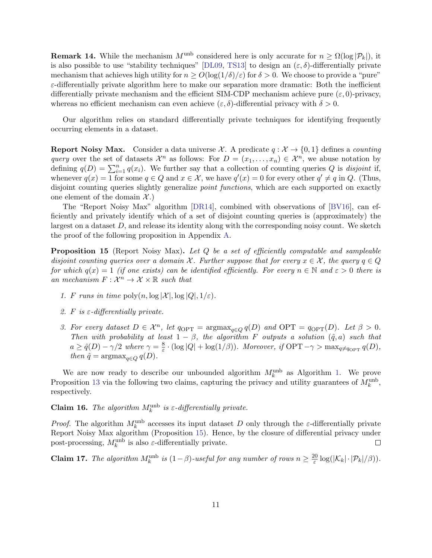**Remark 14.** While the mechanism  $M^{\text{unb}}$  considered here is only accurate for  $n \geq \Omega(\log |\mathcal{P}_k|)$ , it is also possible to use "stability techniques" [\[DL09,](#page-19-7) [TS13\]](#page-20-10) to design an  $(\varepsilon, \delta)$ -differentially private mechanism that achieves high utility for  $n \geq O(\log(1/\delta)/\varepsilon)$  for  $\delta > 0$ . We choose to provide a "pure"  $\varepsilon$ -differentially private algorithm here to make our separation more dramatic: Both the inefficient differentially private mechanism and the efficient SIM-CDP mechanism achieve pure  $(\varepsilon, 0)$ -privacy, whereas no efficient mechanism can even achieve  $(\varepsilon, \delta)$ -differential privacy with  $\delta > 0$ .

Our algorithm relies on standard differentially private techniques for identifying frequently occurring elements in a dataset.

**Report Noisy Max.** Consider a data universe X. A predicate  $q : \mathcal{X} \to \{0, 1\}$  defines a counting query over the set of datasets  $\mathcal{X}^n$  as follows: For  $D = (x_1, \ldots, x_n) \in \mathcal{X}^n$ , we abuse notation by defining  $q(D) = \sum_{i=1}^{n} q(x_i)$ . We further say that a collection of counting queries Q is disjoint if, whenever  $q(x) = 1$  for some  $q \in Q$  and  $x \in \mathcal{X}$ , we have  $q'(x) = 0$  for every other  $q' \neq q$  in Q. (Thus, disjoint counting queries slightly generalize *point functions*, which are each supported on exactly one element of the domain  $\mathcal{X}$ .)

The "Report Noisy Max" algorithm [\[DR14\]](#page-19-8), combined with observations of [\[BV16\]](#page-18-7), can efficiently and privately identify which of a set of disjoint counting queries is (approximately) the largest on a dataset  $D$ , and release its identity along with the corresponding noisy count. We sketch the proof of the following proposition in Appendix [A.](#page-21-0)

<span id="page-10-0"></span>Proposition 15 (Report Noisy Max). Let Q be a set of efficiently computable and sampleable disjoint counting queries over a domain X. Further suppose that for every  $x \in \mathcal{X}$ , the query  $q \in Q$ for which  $q(x) = 1$  (if one exists) can be identified efficiently. For every  $n \in \mathbb{N}$  and  $\varepsilon > 0$  there is an mechanism  $F: \mathcal{X}^n \to \mathcal{X} \times \mathbb{R}$  such that

- 1. F runs in time  $\text{poly}(n, \log |\mathcal{X}|, \log |Q|, 1/\varepsilon)$ .
- 2. F is  $\varepsilon$ -differentially private.
- 3. For every dataset  $D \in \mathcal{X}^n$ , let  $q_{\text{OPT}} = \text{argmax}_{q \in Q} q(D)$  and  $\text{OPT} = q_{\text{OPT}}(D)$ . Let  $\beta > 0$ . Then with probability at least  $1 - \beta$ , the algorithm F outputs a solution  $(\hat{q}, a)$  such that  $a \geq \hat{q}(D) - \gamma/2$  where  $\gamma = \frac{8}{5}$  $\frac{8}{\varepsilon} \cdot (\log |Q| + \log(1/\beta))$ . Moreover, if  $\text{OPT} - \gamma > \max_{q \neq q_{\text{OPT}}} q(D)$ , then  $\hat{q} = \argmax_{q \in Q} q(D)$ .

We are now ready to describe our unbounded algorithm  $M_k^{\text{unb}}$  as Algorithm [1.](#page-11-0) We prove Proposition [13](#page-9-0) via the following two claims, capturing the privacy and utility guarantees of  $M_k^{\text{unb}}$ , respectively.

**Claim 16.** The algorithm  $M_k^{\text{unb}}$  is  $\varepsilon$ -differentially private.

*Proof.* The algorithm  $M_k^{\text{unb}}$  accesses its input dataset D only through the  $\varepsilon$ -differentially private Report Noisy Max algorithm (Proposition [15\)](#page-10-0). Hence, by the closure of differential privacy under post-processing,  $M_k^{\text{unb}}$  is also  $\varepsilon$ -differentially private.  $\Box$ 

<span id="page-10-1"></span>**Claim 17.** The algorithm  $M_k^{\text{unb}}$  is  $(1-\beta)$ -useful for any number of rows  $n \geq \frac{20}{\varepsilon}$  $\frac{20}{\varepsilon}\log(|\mathcal{K}_k|\cdot|\mathcal{P}_k|/\beta)).$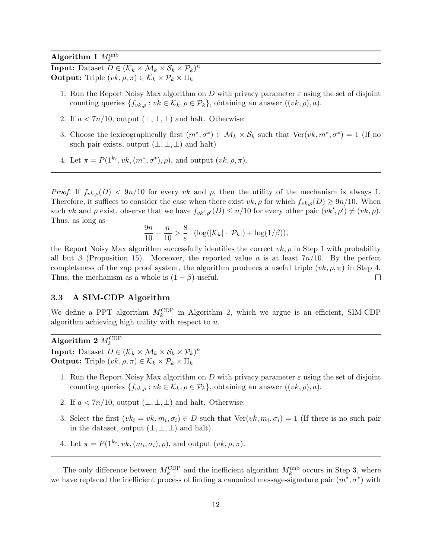## <span id="page-11-0"></span>Algorithm 1  $M_k^{\rm{unb}}$

**Input:** Dataset  $D \in (\mathcal{K}_k \times \mathcal{M}_k \times \mathcal{S}_k \times \mathcal{P}_k)^n$ **Output:** Triple  $(vk, \rho, \pi) \in \mathcal{K}_k \times \mathcal{P}_k \times \Pi_k$ 

- 1. Run the Report Noisy Max algorithm on D with privacy parameter  $\varepsilon$  using the set of disjoint counting queries  $\{f_{vk,\rho}: vk \in \mathcal{K}_k, \rho \in \mathcal{P}_k\}$ , obtaining an answer  $((vk,\rho),a)$ .
- 2. If  $a < 7n/10$ , output  $(\perp, \perp, \perp)$  and halt. Otherwise:
- 3. Choose the lexicographically first  $(m^*, \sigma^*) \in M_k \times S_k$  such that  $\text{Ver}(vk, m^*, \sigma^*) = 1$  (If no such pair exists, output  $(\perp, \perp, \perp)$  and halt)
- 4. Let  $\pi = P(1^{k_c}, v k, (m^*, \sigma^*), \rho)$ , and output  $(v k, \rho, \pi)$ .

*Proof.* If  $f_{vk,o}(D) < 9n/10$  for every vk and  $\rho$ , then the utility of the mechanism is always 1. Therefore, it suffices to consider the case when there exist  $vk, \rho$  for which  $f_{vk,\rho}(D) \geq 9n/10$ . When such vk and  $\rho$  exist, observe that we have  $f_{vk',\rho'}(D) \leq n/10$  for every other pair  $(vk', \rho') \neq (vk, \rho)$ . Thus, as long as

$$
\frac{9n}{10} - \frac{n}{10} > \frac{8}{\varepsilon} \cdot (\log(|\mathcal{K}_k| \cdot |\mathcal{P}_k|) + \log(1/\beta)),
$$

the Report Noisy Max algorithm successfully identifies the correct  $vk, \rho$  in Step 1 with probability all but  $\beta$  (Proposition [15\)](#page-10-0). Moreover, the reported value a is at least 7n/10. By the perfect completeness of the zap proof system, the algorithm produces a useful triple  $(vk, \rho, \pi)$  in Step 4. Thus, the mechanism as a whole is  $(1 - \beta)$ -useful.  $\Box$ 

## 3.3 A SIM-CDP Algorithm

We define a PPT algorithm  $M_k^{\text{CDP}}$  in Algorithm [2,](#page-11-1) which we argue is an efficient, SIM-CDP algorithm achieving high utility with respect to u.

<span id="page-11-1"></span>Algorithm 2  $M_k^{\mathrm{CDP}}$ 

**Input:** Dataset  $D \in (\mathcal{K}_k \times \mathcal{M}_k \times \mathcal{S}_k \times \mathcal{P}_k)^n$ **Output:** Triple  $(vk, \rho, \pi) \in \mathcal{K}_k \times \mathcal{P}_k \times \Pi_k$ 

- 1. Run the Report Noisy Max algorithm on D with privacy parameter  $\varepsilon$  using the set of disjoint counting queries  $\{f_{vk,\rho}: vk \in \mathcal{K}_k, \rho \in \mathcal{P}_k\}$ , obtaining an answer  $((vk,\rho),a)$ .
- 2. If  $a < 7n/10$ , output  $(\perp, \perp, \perp)$  and halt. Otherwise:
- 3. Select the first  $(vk_i = vk, m_i, \sigma_i) \in D$  such that  $Ver(vk, m_i, \sigma_i) = 1$  (If there is no such pair in the dataset, output  $(\perp, \perp, \perp)$  and halt).
- 4. Let  $\pi = P(1^{k_c}, v k, (m_i, \sigma_i), \rho)$ , and output  $(v k, \rho, \pi)$ .

The only difference between  $M_k^{\text{CDP}}$  and the inefficient algorithm  $M_k^{\text{unb}}$  occurs in Step 3, where we have replaced the inefficient process of finding a canonical message-signature pair  $(m^*, \sigma^*)$  with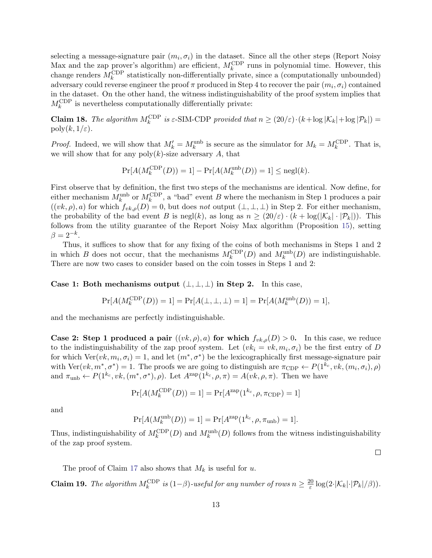selecting a message-signature pair  $(m_i, \sigma_i)$  in the dataset. Since all the other steps (Report Noisy Max and the zap prover's algorithm) are efficient,  $M_k^{\text{CDP}}$  runs in polynomial time. However, this change renders  $M_k^{\text{CDP}}$  statistically non-differentially private, since a (computationally unbounded) adversary could reverse engineer the proof  $\pi$  produced in Step 4 to recover the pair  $(m_i, \sigma_i)$  contained in the dataset. On the other hand, the witness indistinguishability of the proof system implies that  $M_k^{\text{CDP}}$  is nevertheless computationally differentially private:

**Claim 18.** The algorithm  $M_k^{\text{CDP}}$  is  $\varepsilon$ -SIM-CDP provided that  $n \geq (20/\varepsilon) \cdot (k + \log |\mathcal{K}_k| + \log |\mathcal{P}_k|)$  =  $poly(k, 1/\varepsilon)$ .

*Proof.* Indeed, we will show that  $M'_k = M_k^{\text{unb}}$  is secure as the simulator for  $M_k = M_k^{\text{CDP}}$ . That is, we will show that for any  $\text{poly}(k)$ -size adversary A, that

$$
\Pr[A(M_k^{\text{CDP}}(D)) = 1] - \Pr[A(M_k^{\text{unb}}(D)) = 1] \le \text{negl}(k).
$$

First observe that by definition, the first two steps of the mechanisms are identical. Now define, for either mechanism  $M_k^{\text{unb}}$  or  $M_k^{\text{CDP}}$ , a "bad" event B where the mechanism in Step 1 produces a pair  $((vk, \rho), a)$  for which  $f_{vk,\rho}(D) = 0$ , but does not output  $(\bot, \bot, \bot)$  in Step 2. For either mechanism, the probability of the bad event B is negl(k), as long as  $n \geq (20/\varepsilon) \cdot (k + \log(|\mathcal{K}_k| \cdot |\mathcal{P}_k|))$ . This follows from the utility guarantee of the Report Noisy Max algorithm (Proposition [15\)](#page-10-0), setting  $\beta = 2^{-k}$ .

Thus, it suffices to show that for any fixing of the coins of both mechanisms in Steps 1 and 2 in which B does not occur, that the mechanisms  $M_k^{\text{CDP}}(D)$  and  $M_k^{\text{unb}}(D)$  are indistinguishable. There are now two cases to consider based on the coin tosses in Steps 1 and 2:

Case 1: Both mechanisms output  $(\perp, \perp, \perp)$  in Step 2. In this case,

$$
Pr[A(M_k^{\text{CDP}}(D)) = 1] = Pr[A(\perp, \perp, \perp) = 1] = Pr[A(M_k^{\text{unb}}(D)) = 1],
$$

and the mechanisms are perfectly indistinguishable.

Case 2: Step 1 produced a pair  $((vk, \rho), a)$  for which  $f_{vk,\rho}(D) > 0$ . In this case, we reduce to the indistinguishability of the zap proof system. Let  $(vk_i = vk, m_i, \sigma_i)$  be the first entry of D for which  $\text{Ver}(vk, m_i, \sigma_i) = 1$ , and let  $(m^*, \sigma^*)$  be the lexicographically first message-signature pair with  $\text{Ver}(vk, m^*, \sigma^*) = 1$ . The proofs we are going to distinguish are  $\pi_{\text{CDP}} \leftarrow P(1^{k_c}, vk, (m_i, \sigma_i), \rho)$ and  $\pi_{\text{unb}} \leftarrow P(1^{k_c}, vk, (m^*, \sigma^*), \rho)$ . Let  $A^{\text{zap}}(1^{k_c}, \rho, \pi) = A(vk, \rho, \pi)$ . Then we have

$$
Pr[A(M_k^{\text{CDP}}(D)) = 1] = Pr[A^{\text{zap}}(1^{k_c}, \rho, \pi_{\text{CDP}}) = 1]
$$

and

$$
Pr[A(M_k^{\text{unb}}(D)) = 1] = Pr[A^{\text{zap}}(1^{k_c}, \rho, \pi_{\text{unb}}) = 1].
$$

Thus, indistinguishability of  $M_k^{\text{CDP}}(D)$  and  $M_k^{\text{unb}}(D)$  follows from the witness indistinguishability of the zap proof system.

 $\Box$ 

The proof of Claim [17](#page-10-1) also shows that  $M_k$  is useful for u.

**Claim 19.** The algorithm  $M_k^{\text{CDP}}$  is  $(1-\beta)$ -useful for any number of rows  $n \geq \frac{20}{\varepsilon}$  $\frac{20}{\varepsilon}\log(2\cdot|\mathcal{K}_k|\cdot|\mathcal{P}_k|/\beta)).$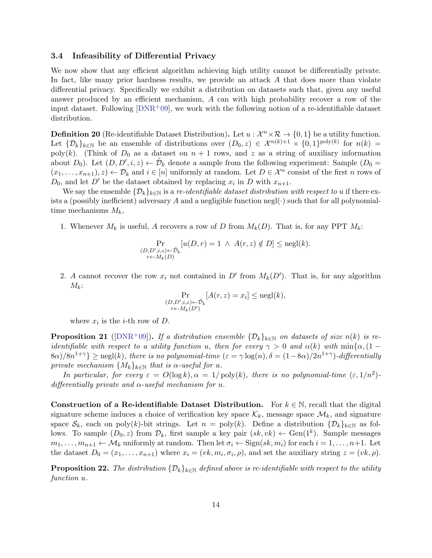### 3.4 Infeasibility of Differential Privacy

We now show that any efficient algorithm achieving high utility cannot be differentially private. In fact, like many prior hardness results, we provide an attack A that does more than violate differential privacy. Specifically we exhibit a distribution on datasets such that, given any useful answer produced by an efficient mechanism, A can with high probability recover a row of the input dataset. Following  $[DNR^+09]$  $[DNR^+09]$ , we work with the following notion of a re-identifiable dataset distribution.

**Definition 20** (Re-identifiable Dataset Distribution). Let  $u : \mathcal{X}^n \times \mathcal{R} \to \{0,1\}$  be a utility function. Let  $\{\mathcal{D}_k\}_{k\in\mathbb{N}}$  be an ensemble of distributions over  $(D_0, z) \in \mathcal{X}^{n(k)+1} \times \{0, 1\}^{\text{poly}(k)}$  for  $n(k) =$ poly(k). (Think of  $D_0$  as a dataset on  $n + 1$  rows, and z as a string of auxiliary information about  $D_0$ ). Let  $(D, D', i, z) \leftarrow \tilde{\mathcal{D}}_k$  denote a sample from the following experiment: Sample  $(D_0 =$  $(x_1, \ldots, x_{n+1}), z) \leftarrow \mathcal{D}_k$  and  $i \in [n]$  uniformly at random. Let  $D \in \mathcal{X}^n$  consist of the first n rows of  $D_0$ , and let D' be the dataset obtained by replacing  $x_i$  in D with  $x_{n+1}$ .

We say the ensemble  $\{\mathcal{D}_k\}_{k\in\mathbb{N}}$  is a *re-identifiable dataset distribution with respect to u* if there exists a (possibly inefficient) adversary A and a negligible function negl( $\cdot$ ) such that for all polynomialtime mechanisms  $M_k$ ,

1. Whenever  $M_k$  is useful, A recovers a row of D from  $M_k(D)$ . That is, for any PPT  $M_k$ :

$$
\Pr_{\substack{(D, D', i, z) \leftarrow \tilde{\mathcal{D}}_k \\ r \leftarrow M_k(D)}} [u(D, r) = 1 \ \land \ A(r, z) \notin D] \leq \text{negl}(k).
$$

2. A cannot recover the row  $x_i$  not contained in  $D'$  from  $M_k(D')$ . That is, for any algorithm  $M_k$ :

$$
\Pr_{\substack{(D, D', i, z) \leftarrow \tilde{\mathcal{D}}_k \\ r \leftarrow M_k(D')}} [A(r, z) = x_i] \leq \text{negl}(k),
$$

where  $x_i$  is the *i*-th row of  $D$ .

**Proposition 21** ([\[DNR](#page-19-3)+09]). If a distribution ensemble  $\{\mathcal{D}_k\}_{k\in\mathbb{N}}$  on datasets of size  $n(k)$  is reidentifiable with respect to a utility function u, then for every  $\gamma > 0$  and  $\alpha(k)$  with  $\min{\alpha, (1 - k)}$  $(8\alpha)/8n^{1+\gamma}$   $\geq$  negl(k), there is no polynomial-time  $(\varepsilon = \gamma \log(n), \delta = (1-8\alpha)/2n^{1+\gamma})$ -differentially private mechanism  $\{M_k\}_{k\in\mathbb{N}}$  that is  $\alpha$ -useful for u.

In particular, for every  $\varepsilon = O(\log k)$ ,  $\alpha = 1/\text{poly}(k)$ , there is no polynomial-time  $(\varepsilon, 1/n^2)$ differentially private and  $\alpha$ -useful mechanism for u.

**Construction of a Re-identifiable Dataset Distribution.** For  $k \in \mathbb{N}$ , recall that the digital signature scheme induces a choice of verification key space  $\mathcal{K}_k$ , message space  $\mathcal{M}_k$ , and signature space  $S_k$ , each on poly(k)-bit strings. Let  $n = \text{poly}(k)$ . Define a distribution  $\{\mathcal{D}_k\}_{k\in\mathbb{N}}$  as follows. To sample  $(D_0, z)$  from  $\mathcal{D}_k$ , first sample a key pair  $(sk, vk) \leftarrow Gen(1^k)$ . Sample messages  $m_1, \ldots, m_{n+1} \leftarrow M_k$  uniformly at random. Then let  $\sigma_i \leftarrow \text{Sign}(sk, m_i)$  for each  $i = 1, \ldots, n+1$ . Let the dataset  $D_0 = (x_1, \ldots, x_{n+1})$  where  $x_i = (vk, m_i, \sigma_i, \rho)$ , and set the auxiliary string  $z = (vk, \rho)$ .

**Proposition 22.** The distribution  $\{\mathcal{D}_k\}_{k\in\mathbb{N}}$  defined above is re-identifiable with respect to the utility function u.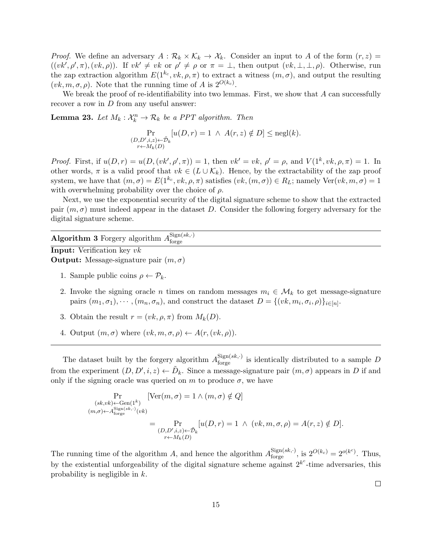*Proof.* We define an adversary  $A: \mathcal{R}_k \times \mathcal{K}_k \to \mathcal{X}_k$ . Consider an input to A of the form  $(r, z) =$  $((vk', \rho', \pi), (vk, \rho))$ . If  $vk' \neq vk$  or  $\rho' \neq \rho$  or  $\pi = \bot$ , then output  $(vk, \bot, \bot, \rho)$ . Otherwise, run the zap extraction algorithm  $E(1^{k_c}, vk, \rho, \pi)$  to extract a witness  $(m, \sigma)$ , and output the resulting  $(vk, m, \sigma, \rho)$ . Note that the running time of A is  $2^{O(k_c)}$ .

We break the proof of re-identifiability into two lemmas. First, we show that  $A$  can successfully recover a row in D from any useful answer:

<span id="page-14-0"></span>**Lemma 23.** Let  $M_k : \mathcal{X}_k^n \to \mathcal{R}_k$  be a PPT algorithm. Then

$$
\Pr_{\substack{(D, D', i, z) \leftarrow \tilde{\mathcal{D}}_k \\ r \leftarrow M_k(D)}} [u(D, r) = 1 \ \land \ A(r, z) \notin D] \leq \text{negl}(k).
$$

*Proof.* First, if  $u(D,r) = u(D,(vk', \rho', \pi)) = 1$ , then  $vk' = vk, \rho' = \rho$ , and  $V(1^k, vk, \rho, \pi) = 1$ . In other words,  $\pi$  is a valid proof that  $vk \in (L \cup \mathcal{K}_k)$ . Hence, by the extractability of the zap proof system, we have that  $(m, \sigma) = E(1^{k_c}, vk, \rho, \pi)$  satisfies  $(vk, (m, \sigma)) \in R_L$ ; namely Ver $(vk, m, \sigma) = 1$ with overwhelming probability over the choice of  $\rho$ .

Next, we use the exponential security of the digital signature scheme to show that the extracted pair  $(m, \sigma)$  must indeed appear in the dataset D. Consider the following forgery adversary for the digital signature scheme.

#### **Algorithm 3** Forgery algorithm  $A_{\text{force}}^{\text{Sign}(sk,.)}$ forge

Input: Verification key vk

**Output:** Message-signature pair  $(m, \sigma)$ 

- 1. Sample public coins  $\rho \leftarrow \mathcal{P}_k$ .
- 2. Invoke the signing oracle n times on random messages  $m_i \in \mathcal{M}_k$  to get message-signature pairs  $(m_1, \sigma_1), \cdots, (m_n, \sigma_n)$ , and construct the dataset  $D = \{(vk, m_i, \sigma_i, \rho)\}_{i \in [n]}$ .
- 3. Obtain the result  $r = (vk, \rho, \pi)$  from  $M_k(D)$ .
- 4. Output  $(m, \sigma)$  where  $(vk, m, \sigma, \rho) \leftarrow A(r, (vk, \rho)).$

The dataset built by the forgery algorithm  $A_{\text{forget}}^{\text{Sign}(sk,\cdot)}$  is identically distributed to a sample D from the experiment  $(D, D', i, z) \leftarrow \tilde{D}_k$ . Since a message-signature pair  $(m, \sigma)$  appears in D if and only if the signing oracle was queried on m to produce  $\sigma$ , we have

$$
\Pr_{\substack{(sk,vk)\leftarrow \text{Gen}(1^k)\\(m,\sigma)\leftarrow A_{\text{forget}}^{\text{Sign}(sk,\cdot)}(vk)}}[\text{Ver}(m,\sigma) = 1 \land (m,\sigma) \notin Q] \n= \Pr_{\substack{(D,D',i,z)\leftarrow \tilde{D}_k\\(D,D',i,z)\leftarrow \tilde{D}_k}}[u(D,r) = 1 \land (vk,m,\sigma,\rho) = A(r,z) \notin D].
$$

The running time of the algorithm A, and hence the algorithm  $A_{\text{forget}}^{\text{Sign}(sk,\cdot)}$ , is  $2^{O(k_c)} = 2^{o(k^c)}$ . Thus, by the existential unforgeability of the digital signature scheme against  $2^{k^c}$ -time adversaries, this probability is negligible in k.

 $\Box$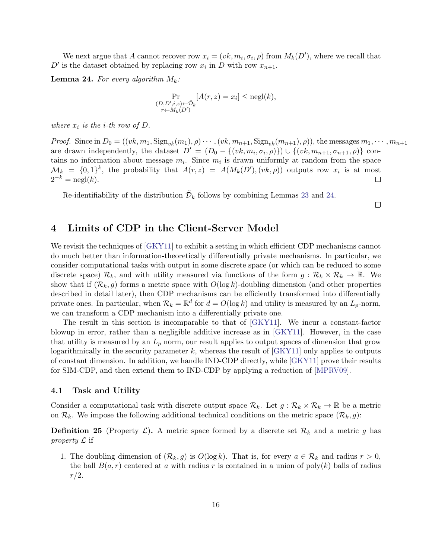We next argue that A cannot recover row  $x_i = (vk, m_i, \sigma_i, \rho)$  from  $M_k(D')$ , where we recall that  $D'$  is the dataset obtained by replacing row  $x_i$  in D with row  $x_{n+1}$ .

<span id="page-15-1"></span>**Lemma 24.** For every algorithm  $M_k$ :

$$
\Pr_{\substack{(D, D', i, z) \leftarrow \tilde{\mathcal{D}}_k \\ r \leftarrow M_k(D')}} [A(r, z) = x_i] \le \operatorname{negl}(k),
$$

where  $x_i$  is the *i*-th row of D.

*Proof.* Since in  $D_0 = ((vk, m_1, \text{Sign}_{vk}(m_1), \rho) \cdots, (vk, m_{n+1}, \text{Sign}_{vk}(m_{n+1}), \rho)),$  the messages  $m_1, \cdots, m_{n+1}$ are drawn independently, the dataset  $D' = (D_0 - \{(vk, m_i, \sigma_i, \rho)\}) \cup \{(vk, m_{n+1}, \sigma_{n+1}, \rho)\}\)$  contains no information about message  $m_i$ . Since  $m_i$  is drawn uniformly at random from the space  $\mathcal{M}_k = \{0,1\}^k$ , the probability that  $A(r, z) = A(M_k(D'), (vk, \rho))$  outputs row  $x_i$  is at most  $2^{-k} = \operatorname{negl}(k)$ .  $\Box$ 

Re-identifiability of the distribution  $\tilde{\mathcal{D}}_k$  follows by combining Lemmas [23](#page-14-0) and [24.](#page-15-1)

 $\Box$ 

## <span id="page-15-0"></span>4 Limits of CDP in the Client-Server Model

We revisit the techniques of  $\left[\text{GKY11}\right]$  to exhibit a setting in which efficient CDP mechanisms cannot do much better than information-theoretically differentially private mechanisms. In particular, we consider computational tasks with output in some discrete space (or which can be reduced to some discrete space)  $\mathcal{R}_k$ , and with utility measured via functions of the form  $g: \mathcal{R}_k \times \mathcal{R}_k \to \mathbb{R}$ . We show that if  $(\mathcal{R}_k, g)$  forms a metric space with  $O(\log k)$ -doubling dimension (and other properties described in detail later), then CDP mechanisms can be efficiently transformed into differentially private ones. In particular, when  $\mathcal{R}_k = \mathbb{R}^d$  for  $d = O(\log k)$  and utility is measured by an  $L_p$ -norm, we can transform a CDP mechanism into a differentially private one.

The result in this section is incomparable to that of [\[GKY11\]](#page-19-2). We incur a constant-factor blowup in error, rather than a negligible additive increase as in [\[GKY11\]](#page-19-2). However, in the case that utility is measured by an  $L_p$  norm, our result applies to output spaces of dimension that grow logarithmically in the security parameter k, whereas the result of  $(GKY11]$  only applies to outputs of constant dimension. In addition, we handle IND-CDP directly, while [\[GKY11\]](#page-19-2) prove their results for SIM-CDP, and then extend them to IND-CDP by applying a reduction of [\[MPRV09\]](#page-20-0).

## 4.1 Task and Utility

Consider a computational task with discrete output space  $\mathcal{R}_k$ . Let  $g : \mathcal{R}_k \times \mathcal{R}_k \to \mathbb{R}$  be a metric on  $\mathcal{R}_k$ . We impose the following additional technical conditions on the metric space  $(\mathcal{R}_k, g)$ :

**Definition 25** (Property  $\mathcal{L}$ ). A metric space formed by a discrete set  $\mathcal{R}_k$  and a metric g has property  $\mathcal L$  if

1. The doubling dimension of  $(\mathcal{R}_k, g)$  is  $O(\log k)$ . That is, for every  $a \in \mathcal{R}_k$  and radius  $r > 0$ , the ball  $B(a, r)$  centered at a with radius r is contained in a union of poly $(k)$  balls of radius  $r/2$ .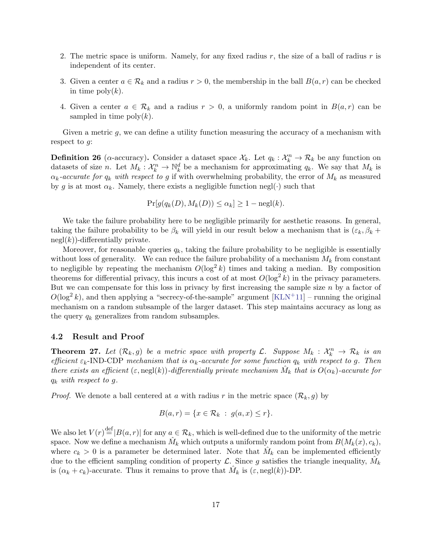- 2. The metric space is uniform. Namely, for any fixed radius  $r$ , the size of a ball of radius  $r$  is independent of its center.
- 3. Given a center  $a \in \mathcal{R}_k$  and a radius  $r > 0$ , the membership in the ball  $B(a, r)$  can be checked in time  $\text{poly}(k)$ .
- 4. Given a center  $a \in \mathcal{R}_k$  and a radius  $r > 0$ , a uniformly random point in  $B(a, r)$  can be sampled in time  $\text{poly}(k)$ .

Given a metric q, we can define a utility function measuring the accuracy of a mechanism with respect to g:

**Definition 26** ( $\alpha$ -accuracy). Consider a dataset space  $\mathcal{X}_k$ . Let  $q_k : \mathcal{X}_k^n \to \mathcal{R}_k$  be any function on datasets of size n. Let  $M_k: \mathcal{X}_k^n \to \mathbb{N}_k^d$  be a mechanism for approximating  $q_k$ . We say that  $M_k$  is  $\alpha_k$ -accurate for  $q_k$  with respect to g if with overwhelming probability, the error of  $M_k$  as measured by g is at most  $\alpha_k$ . Namely, there exists a negligible function negl( $\cdot$ ) such that

 $Pr[g(q_k(D), M_k(D)) \leq \alpha_k] \geq 1 - negl(k).$ 

We take the failure probability here to be negligible primarily for aesthetic reasons. In general, taking the failure probability to be  $\beta_k$  will yield in our result below a mechanism that is  $(\varepsilon_k, \beta_k + \gamma_k)$  $negl(k)$ -differentially private.

Moreover, for reasonable queries  $q_k$ , taking the failure probability to be negligible is essentially without loss of generality. We can reduce the failure probability of a mechanism  $M_k$  from constant to negligible by repeating the mechanism  $O(\log^2 k)$  times and taking a median. By composition theorems for differential privacy, this incurs a cost of at most  $O(\log^2 k)$  in the privacy parameters. But we can compensate for this loss in privacy by first increasing the sample size  $n$  by a factor of  $O(\log^2 k)$ , and then applying a "secrecy-of-the-sample" argument [\[KLN](#page-20-11)+11] – running the original mechanism on a random subsample of the larger dataset. This step maintains accuracy as long as the query  $q_k$  generalizes from random subsamples.

## 4.2 Result and Proof

<span id="page-16-0"></span>**Theorem 27.** Let  $(\mathcal{R}_k, g)$  be a metric space with property L. Suppose  $M_k : \mathcal{X}_k^n \to \mathcal{R}_k$  is an efficient  $\varepsilon_k$ -IND-CDP mechanism that is  $\alpha_k$ -accurate for some function  $q_k$  with respect to g. Then there exists an efficient  $(\varepsilon, \text{negl}(k))$ -differentially private mechanism  $\hat{M}_k$  that is  $O(\alpha_k)$ -accurate for  $q_k$  with respect to g.

*Proof.* We denote a ball centered at a with radius r in the metric space  $(\mathcal{R}_k, g)$  by

$$
B(a,r) = \{x \in \mathcal{R}_k : g(a,x) \le r\}.
$$

We also let  $V(r) \stackrel{\text{def}}{=} |B(a, r)|$  for any  $a \in \mathcal{R}_k$ , which is well-defined due to the uniformity of the metric space. Now we define a mechanism  $\hat{M}_k$  which outputs a uniformly random point from  $B(M_k(x), c_k),$ where  $c_k > 0$  is a parameter be determined later. Note that  $\hat{M}_k$  can be implemented efficiently due to the efficient sampling condition of property L. Since g satisfies the triangle inequality,  $\hat{M_k}$ is  $(\alpha_k + c_k)$ -accurate. Thus it remains to prove that  $\hat{M}_k$  is  $(\varepsilon, \text{negl}(k))$ -DP.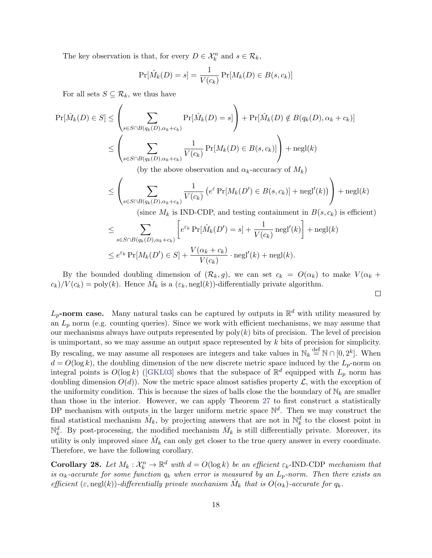The key observation is that, for every  $D \in \mathcal{X}_k^n$  and  $s \in \mathcal{R}_k$ ,

$$
\Pr[\hat{M}_k(D) = s] = \frac{1}{V(c_k)} \Pr[M_k(D) \in B(s, c_k)]
$$

For all sets  $S \subseteq \mathcal{R}_k$ , we thus have

$$
\Pr[\hat{M}_k(D) \in S] \le \left(\sum_{s \in S \cap B(q_k(D), \alpha_k + c_k)} \Pr[\hat{M}_k(D) = s]\right) + \Pr[\hat{M}_k(D) \notin B(q_k(D), \alpha_k + c_k)]
$$
  

$$
\le \left(\sum_{s \in S \cap B(q_k(D), \alpha_k + c_k)} \frac{1}{V(c_k)} \Pr[M_k(D) \in B(s, c_k)]\right) + \operatorname{negl}(k)
$$

(by the above observation and  $\alpha_k$ -accuracy of  $M_k$ )

$$
\leq \left(\sum_{s \in S \cap B(q_k(D), \alpha_k + c_k)} \frac{1}{V(c_k)} \left(e^{\varepsilon} \Pr[M_k(D') \in B(s, c_k)] + \text{negl}'(k)\right)\right) + \text{negl}(k)
$$

(since  $M_k$  is IND-CDP, and testing containment in  $B(s, c_k)$  is efficient)

$$
\leq \sum_{s \in S \cap B(q_k(D), \alpha_k + c_k)} \left[ e^{\varepsilon_k} \Pr[\hat{M}_k(D') = s] + \frac{1}{V(c_k)} \operatorname{negl}'(k) \right] + \operatorname{negl}(k)
$$
  

$$
\leq e^{\varepsilon_k} \Pr[M_k(D') \in S] + \frac{V(\alpha_k + c_k)}{V(c_k)} \cdot \operatorname{negl}'(k) + \operatorname{negl}(k).
$$

By the bounded doubling dimension of  $(\mathcal{R}_k, g)$ , we can set  $c_k = O(\alpha_k)$  to make  $V(\alpha_k +$  $(c_k)/V(c_k) = \text{poly}(k)$ . Hence  $\hat{M}_k$  is a  $(\varepsilon_k, \text{negl}(k))$ -differentially private algorithm.

 $\Box$ 

 $L_p$ -norm case. Many natural tasks can be captured by outputs in  $\mathbb{R}^d$  with utility measured by an  $L_p$  norm (e.g. counting queries). Since we work with efficient mechanisms, we may assume that our mechanisms always have outputs represented by  $poly(k)$  bits of precision. The level of precision is unimportant, so we may assume an output space represented by  $k$  bits of precision for simplicity. By rescaling, we may assume all responses are integers and take values in  $\mathbb{N}_k \stackrel{\text{def}}{=} \mathbb{N} \cap [0, 2^k]$ . When  $d = O(\log k)$ , the doubling dimension of the new discrete metric space induced by the  $L_p$ -norm on integral points is  $O(\log k)$  ([\[GKL03\]](#page-19-9) shows that the subspace of  $\mathbb{R}^d$  equipped with  $L_p$  norm has doubling dimension  $O(d)$ ). Now the metric space almost satisfies property  $\mathcal{L}$ , with the exception of the uniformity condition. This is because the sizes of balls close the the boundary of  $\mathbb{N}_k$  are smaller than those in the interior. However, we can apply Theorem [27](#page-16-0) to first construct a statistically DP mechanism with outputs in the larger uniform metric space  $\mathbb{N}^d$ . Then we may construct the final statistical mechanism  $\hat{M}_k$ , by projecting answers that are not in  $\mathbb{N}_k^d$  to the closest point in  $\mathbb{N}_{k}^{d}$ . By post-processing, the modified mechanism  $\hat{M}_{k}$  is still differentially private. Moreover, its utility is only improved since  $\hat{M}_k$  can only get closer to the true query answer in every coordinate. Therefore, we have the following corollary.

**Corollary 28.** Let  $M_k: \mathcal{X}_k^n \to \mathbb{R}^d$  with  $d = O(\log k)$  be an efficient  $\varepsilon_k$ -IND-CDP mechanism that is  $\alpha_k$ -accurate for some function  $q_k$  when error is measured by an  $L_p$ -norm. Then there exists an efficient  $(\varepsilon, \text{negl}(k))$ -differentially private mechanism  $\hat{M}_k$  that is  $O(\alpha_k)$ -accurate for  $q_k$ .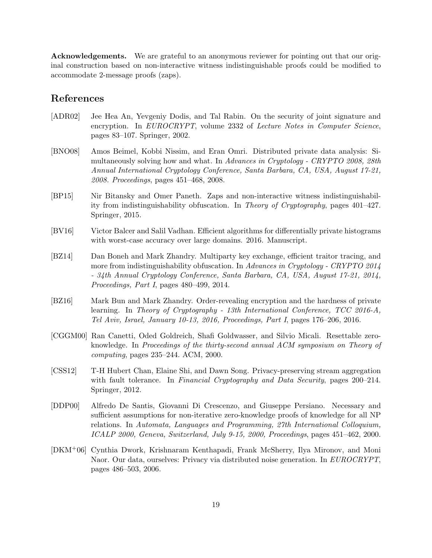Acknowledgements. We are grateful to an anonymous reviewer for pointing out that our original construction based on non-interactive witness indistinguishable proofs could be modified to accommodate 2-message proofs (zaps).

## References

- <span id="page-18-6"></span>[ADR02] Jee Hea An, Yevgeniy Dodis, and Tal Rabin. On the security of joint signature and encryption. In EUROCRYPT, volume 2332 of Lecture Notes in Computer Science, pages 83–107. Springer, 2002.
- <span id="page-18-0"></span>[BNO08] Amos Beimel, Kobbi Nissim, and Eran Omri. Distributed private data analysis: Simultaneously solving how and what. In Advances in Cryptology - CRYPTO 2008, 28th Annual International Cryptology Conference, Santa Barbara, CA, USA, August 17-21, 2008. Proceedings, pages 451–468, 2008.
- <span id="page-18-9"></span>[BP15] Nir Bitansky and Omer Paneth. Zaps and non-interactive witness indistinguishability from indistinguishability obfuscation. In Theory of Cryptography, pages 401–427. Springer, 2015.
- <span id="page-18-7"></span>[BV16] Victor Balcer and Salil Vadhan. Efficient algorithms for differentially private histograms with worst-case accuracy over large domains. 2016. Manuscript.
- <span id="page-18-3"></span>[BZ14] Dan Boneh and Mark Zhandry. Multiparty key exchange, efficient traitor tracing, and more from indistinguishability obfuscation. In Advances in Cryptology - CRYPTO 2014 - 34th Annual Cryptology Conference, Santa Barbara, CA, USA, August 17-21, 2014, Proceedings, Part I, pages 480–499, 2014.
- <span id="page-18-4"></span>[BZ16] Mark Bun and Mark Zhandry. Order-revealing encryption and the hardness of private learning. In Theory of Cryptography - 13th International Conference, TCC 2016-A, Tel Aviv, Israel, January 10-13, 2016, Proceedings, Part I, pages 176–206, 2016.
- <span id="page-18-5"></span>[CGGM00] Ran Canetti, Oded Goldreich, Shafi Goldwasser, and Silvio Micali. Resettable zeroknowledge. In Proceedings of the thirty-second annual ACM symposium on Theory of computing, pages 235–244. ACM, 2000.
- <span id="page-18-2"></span>[CSS12] T-H Hubert Chan, Elaine Shi, and Dawn Song. Privacy-preserving stream aggregation with fault tolerance. In Financial Cryptography and Data Security, pages 200–214. Springer, 2012.
- <span id="page-18-8"></span>[DDP00] Alfredo De Santis, Giovanni Di Crescenzo, and Giuseppe Persiano. Necessary and sufficient assumptions for non-iterative zero-knowledge proofs of knowledge for all NP relations. In Automata, Languages and Programming, 27th International Colloquium, ICALP 2000, Geneva, Switzerland, July 9-15, 2000, Proceedings, pages 451–462, 2000.
- <span id="page-18-1"></span>[DKM+06] Cynthia Dwork, Krishnaram Kenthapadi, Frank McSherry, Ilya Mironov, and Moni Naor. Our data, ourselves: Privacy via distributed noise generation. In EUROCRYPT, pages 486–503, 2006.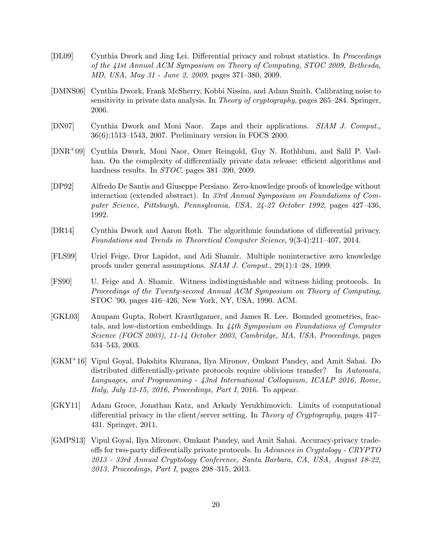- <span id="page-19-7"></span>[DL09] Cynthia Dwork and Jing Lei. Differential privacy and robust statistics. In Proceedings of the 41st Annual ACM Symposium on Theory of Computing, STOC 2009, Bethesda, MD, USA, May 31 - June 2, 2009, pages 371–380, 2009.
- <span id="page-19-4"></span>[DMNS06] Cynthia Dwork, Frank McSherry, Kobbi Nissim, and Adam Smith. Calibrating noise to sensitivity in private data analysis. In Theory of cryptography, pages 265–284. Springer, 2006.
- <span id="page-19-6"></span>[DN07] Cynthia Dwork and Moni Naor. Zaps and their applications. SIAM J. Comput., 36(6):1513–1543, 2007. Preliminary version in FOCS 2000.
- <span id="page-19-3"></span>[DNR+09] Cynthia Dwork, Moni Naor, Omer Reingold, Guy N. Rothblum, and Salil P. Vadhan. On the complexity of differentially private data release: efficient algorithms and hardness results. In STOC, pages 381–390, 2009.
- <span id="page-19-10"></span>[DP92] Alfredo De Santis and Giuseppe Persiano. Zero-knowledge proofs of knowledge without interaction (extended abstract). In 33rd Annual Symposium on Foundations of Computer Science, Pittsburgh, Pennsylvania, USA, 24-27 October 1992, pages 427–436, 1992.
- <span id="page-19-8"></span>[DR14] Cynthia Dwork and Aaron Roth. The algorithmic foundations of differential privacy. Foundations and Trends in Theoretical Computer Science, 9(3-4):211–407, 2014.
- <span id="page-19-11"></span>[FLS99] Uriel Feige, Dror Lapidot, and Adi Shamir. Multiple noninteractive zero knowledge proofs under general assumptions. SIAM J. Comput., 29(1):1–28, 1999.
- <span id="page-19-5"></span>[FS90] U. Feige and A. Shamir. Witness indistinguishable and witness hiding protocols. In Proceedings of the Twenty-second Annual ACM Symposium on Theory of Computing, STOC '90, pages 416–426, New York, NY, USA, 1990. ACM.
- <span id="page-19-9"></span>[GKL03] Anupam Gupta, Robert Krauthgamer, and James R. Lee. Bounded geometries, fractals, and low-distortion embeddings. In 44th Symposium on Foundations of Computer Science (FOCS 2003), 11-14 October 2003, Cambridge, MA, USA, Proceedings, pages 534–543, 2003.
- <span id="page-19-1"></span>[GKM+16] Vipul Goyal, Dakshita Khurana, Ilya Mironov, Omkant Pandey, and Amit Sahai. Do distributed differentially-private protocols require oblivious transfer? In Automata, Languages, and Programming - 43nd International Colloquium, ICALP 2016, Rome, Italy, July 12-15, 2016, Proceedings, Part I, 2016. To appear.
- <span id="page-19-2"></span>[GKY11] Adam Groce, Jonathan Katz, and Arkady Yerukhimovich. Limits of computational differential privacy in the client/server setting. In Theory of Cryptography, pages 417– 431. Springer, 2011.
- <span id="page-19-0"></span>[GMPS13] Vipul Goyal, Ilya Mironov, Omkant Pandey, and Amit Sahai. Accuracy-privacy tradeoffs for two-party differentially private protocols. In Advances in Cryptology - CRYPTO 2013 - 33rd Annual Cryptology Conference, Santa Barbara, CA, USA, August 18-22, 2013. Proceedings, Part I, pages 298–315, 2013.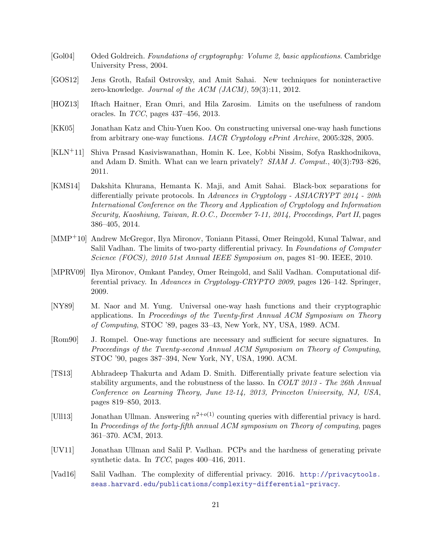- <span id="page-20-9"></span>[Gol04] Oded Goldreich. Foundations of cryptography: Volume 2, basic applications. Cambridge University Press, 2004.
- <span id="page-20-13"></span>[GOS12] Jens Groth, Rafail Ostrovsky, and Amit Sahai. New techniques for noninteractive zero-knowledge. Journal of the ACM (JACM), 59(3):11, 2012.
- <span id="page-20-2"></span>[HOZ13] Iftach Haitner, Eran Omri, and Hila Zarosim. Limits on the usefulness of random oracles. In TCC, pages 437–456, 2013.
- <span id="page-20-8"></span>[KK05] Jonathan Katz and Chiu-Yuen Koo. On constructing universal one-way hash functions from arbitrary one-way functions. IACR Cryptology ePrint Archive, 2005:328, 2005.
- <span id="page-20-11"></span>[KLN+11] Shiva Prasad Kasiviswanathan, Homin K. Lee, Kobbi Nissim, Sofya Raskhodnikova, and Adam D. Smith. What can we learn privately? SIAM J. Comput., 40(3):793–826, 2011.
- <span id="page-20-3"></span>[KMS14] Dakshita Khurana, Hemanta K. Maji, and Amit Sahai. Black-box separations for differentially private protocols. In Advances in Cryptology - ASIACRYPT 2014 - 20th International Conference on the Theory and Application of Cryptology and Information Security, Kaoshiung, Taiwan, R.O.C., December 7-11, 2014, Proceedings, Part II, pages 386–405, 2014.
- <span id="page-20-1"></span>[MMP+10] Andrew McGregor, Ilya Mironov, Toniann Pitassi, Omer Reingold, Kunal Talwar, and Salil Vadhan. The limits of two-party differential privacy. In Foundations of Computer Science (FOCS), 2010 51st Annual IEEE Symposium on, pages 81–90. IEEE, 2010.
- <span id="page-20-0"></span>[MPRV09] Ilya Mironov, Omkant Pandey, Omer Reingold, and Salil Vadhan. Computational differential privacy. In Advances in Cryptology-CRYPTO 2009, pages 126–142. Springer, 2009.
- <span id="page-20-6"></span>[NY89] M. Naor and M. Yung. Universal one-way hash functions and their cryptographic applications. In Proceedings of the Twenty-first Annual ACM Symposium on Theory of Computing, STOC '89, pages 33–43, New York, NY, USA, 1989. ACM.
- <span id="page-20-7"></span>[Rom90] J. Rompel. One-way functions are necessary and sufficient for secure signatures. In Proceedings of the Twenty-second Annual ACM Symposium on Theory of Computing, STOC '90, pages 387–394, New York, NY, USA, 1990. ACM.
- <span id="page-20-10"></span>[TS13] Abhradeep Thakurta and Adam D. Smith. Differentially private feature selection via stability arguments, and the robustness of the lasso. In COLT 2013 - The 26th Annual Conference on Learning Theory, June 12-14, 2013, Princeton University, NJ, USA, pages 819–850, 2013.
- <span id="page-20-5"></span>[Ull13] Jonathan Ullman. Answering  $n^{2+o(1)}$  counting queries with differential privacy is hard. In Proceedings of the forty-fifth annual ACM symposium on Theory of computing, pages 361–370. ACM, 2013.
- <span id="page-20-4"></span>[UV11] Jonathan Ullman and Salil P. Vadhan. PCPs and the hardness of generating private synthetic data. In  $TCC$ , pages 400–416, 2011.
- <span id="page-20-12"></span>[Vad16] Salil Vadhan. The complexity of differential privacy. 2016. [http://privacytools.](http://privacytools.seas.harvard.edu/publications/complexity-differential-privacy) [seas.harvard.edu/publications/complexity-differential-privacy](http://privacytools.seas.harvard.edu/publications/complexity-differential-privacy).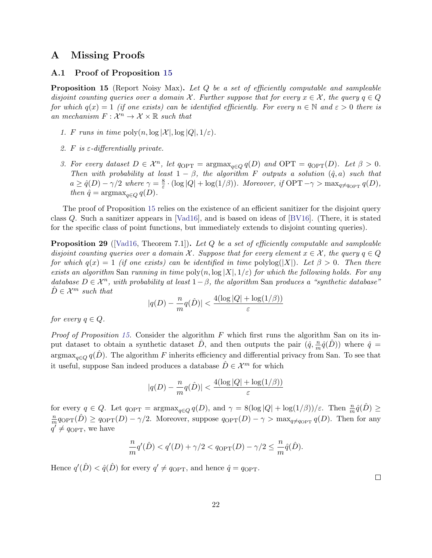## <span id="page-21-0"></span>A Missing Proofs

## A.1 Proof of Proposition [15](#page-10-0)

**Proposition 15** (Report Noisy Max). Let Q be a set of efficiently computable and sampleable disjoint counting queries over a domain X. Further suppose that for every  $x \in \mathcal{X}$ , the query  $q \in Q$ for which  $q(x) = 1$  (if one exists) can be identified efficiently. For every  $n \in \mathbb{N}$  and  $\varepsilon > 0$  there is an mechanism  $F: \mathcal{X}^n \to \mathcal{X} \times \mathbb{R}$  such that

- 1. F runs in time  $\text{poly}(n, \log |\mathcal{X}|, \log |Q|, 1/\varepsilon)$ .
- 2. F is  $\varepsilon$ -differentially private.
- 3. For every dataset  $D \in \mathcal{X}^n$ , let  $q_{\text{OPT}} = \text{argmax}_{q \in Q} q(D)$  and  $\text{OPT} = q_{\text{OPT}}(D)$ . Let  $\beta > 0$ . Then with probability at least  $1 - \beta$ , the algorithm F outputs a solution  $(\hat{q}, a)$  such that  $a \geq \hat{q}(D) - \gamma/2$  where  $\gamma = \frac{8}{5}$  $\frac{8}{\varepsilon} \cdot (\log |Q| + \log(1/\beta))$ . Moreover, if  $\text{OPT} - \gamma > \max_{q \neq q_{\text{OPT}}} q(D)$ , then  $\hat{q} = \arg\max_{q \in Q} q(D)$ .

The proof of Proposition [15](#page-10-0) relies on the existence of an efficient sanitizer for the disjoint query class Q. Such a sanitizer appears in [\[Vad16\]](#page-20-12), and is based on ideas of [\[BV16\]](#page-18-7). (There, it is stated for the specific class of point functions, but immediately extends to disjoint counting queries).

**Proposition 29** ([\[Vad16,](#page-20-12) Theorem 7.1]). Let  $Q$  be a set of efficiently computable and sampleable disjoint counting queries over a domain X. Suppose that for every element  $x \in \mathcal{X}$ , the query  $q \in Q$ for which  $q(x) = 1$  (if one exists) can be identified in time polylog(|X|). Let  $\beta > 0$ . Then there exists an algorithm San running in time  $\text{poly}(n, \log |X|, 1/\varepsilon)$  for which the following holds. For any database  $D \in \mathcal{X}^n$ , with probability at least  $1-\beta$ , the algorithm San produces a "synthetic database"  $\hat{D} \in \mathcal{X}^m$  such that

$$
|q(D) - \frac{n}{m}q(\hat{D})| < \frac{4(\log|Q| + \log(1/\beta))}{\varepsilon}
$$

for every  $q \in Q$ .

*Proof of Proposition [15.](#page-10-0)* Consider the algorithm  $F$  which first runs the algorithm San on its input dataset to obtain a synthetic dataset  $\hat{D}$ , and then outputs the pair  $(\hat{q}, \frac{n}{m}\hat{q}(\hat{D}))$  where  $\hat{q} =$ argmax<sub>q∈Q</sub> q( $\hat{D}$ ). The algorithm F inherits efficiency and differential privacy from San. To see that it useful, suppose San indeed produces a database  $\hat{D} \in \mathcal{X}^m$  for which

$$
|q(D) - \frac{n}{m}q(\hat{D})| < \frac{4(\log |Q| + \log(1/\beta))}{\varepsilon}
$$

for every  $q \in Q$ . Let  $q_{\text{OPT}} = \text{argmax}_{q \in Q} q(D)$ , and  $\gamma = 8(\log |Q| + \log(1/\beta))/\varepsilon$ . Then  $\frac{n}{m}\hat{q}(\hat{D}) \ge$ n  $\frac{n}{m}q_{\text{OPT}}(\hat{D}) \geq q_{\text{OPT}}(D) - \gamma/2$ . Moreover, suppose  $q_{\text{OPT}}(D) - \gamma > \max_{q \neq q_{\text{OPT}}} q(D)$ . Then for any  $q' \neq q_{\text{OPT}}$ , we have

$$
\frac{n}{m}q'(\hat{D})
$$

Hence  $q'(\hat{D}) < \hat{q}(\hat{D})$  for every  $q' \neq q_{\text{OPT}}$ , and hence  $\hat{q} = q_{\text{OPT}}$ .

 $\Box$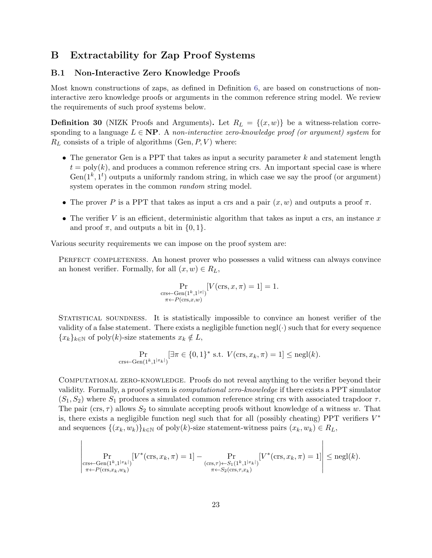## <span id="page-22-0"></span>B Extractability for Zap Proof Systems

## B.1 Non-Interactive Zero Knowledge Proofs

Most known constructions of zaps, as defined in Definition [6,](#page-5-0) are based on constructions of noninteractive zero knowledge proofs or arguments in the common reference string model. We review the requirements of such proof systems below.

**Definition 30** (NIZK Proofs and Arguments). Let  $R_L = \{(x, w)\}\$  be a witness-relation corresponding to a language  $L \in \mathbf{NP}$ . A non-interactive zero-knowledge proof (or argument) system for  $R_L$  consists of a triple of algorithms (Gen,  $P, V$ ) where:

- The generator Gen is a PPT that takes as input a security parameter  $k$  and statement length  $t = \text{poly}(k)$ , and produces a common reference string crs. An important special case is where  $Gen(1^k, 1^t)$  outputs a uniformly random string, in which case we say the proof (or argument) system operates in the common random string model.
- The prover P is a PPT that takes as input a crs and a pair  $(x, w)$  and outputs a proof  $\pi$ .
- The verifier V is an efficient, deterministic algorithm that takes as input a crs, an instance  $x$ and proof  $\pi$ , and outputs a bit in  $\{0, 1\}.$

Various security requirements we can impose on the proof system are:

PERFECT COMPLETENESS. An honest prover who possesses a valid witness can always convince an honest verifier. Formally, for all  $(x, w) \in R_L$ ,

$$
\Pr_{\substack{\text{crs} \leftarrow \text{Gen}(1^k, 1^{|x|}) \\ \pi \leftarrow P(\text{crs}, x, w)}} [V(\text{crs}, x, \pi) = 1] = 1.
$$

Statistical soundness. It is statistically impossible to convince an honest verifier of the validity of a false statement. There exists a negligible function  $negl(\cdot)$  such that for every sequence  ${x_k}_{k\in\mathbb{N}}$  of poly $(k)$ -size statements  $x_k \notin L$ ,

$$
\Pr_{\text{crs} \leftarrow \text{Gen}(1^k, 1^{|x_k|})} [\exists \pi \in \{0, 1\}^* \text{ s.t. } V(\text{crs}, x_k, \pi) = 1] \le \text{negl}(k).
$$

Computational zero-knowledge. Proofs do not reveal anything to the verifier beyond their validity. Formally, a proof system is computational zero-knowledge if there exists a PPT simulator  $(S_1, S_2)$  where  $S_1$  produces a simulated common reference string crs with associated trapdoor  $\tau$ . The pair (crs,  $\tau$ ) allows  $S_2$  to simulate accepting proofs without knowledge of a witness w. That is, there exists a negligible function negl such that for all (possibly cheating) PPT verifiers  $V^*$ and sequences  $\{(x_k, w_k)\}_{k \in \mathbb{N}}$  of poly $(k)$ -size statement-witness pairs  $(x_k, w_k) \in R_L$ ,

$$
\left|\Pr_{\substack{\text{crs}\leftarrow\text{Gen}(1^k,1^{|x_k|})\\ \pi\leftarrow P(\text{crs},x_k,w_k)}}[V^*(\text{crs},x_k,\pi)=1]-\Pr_{\substack{(\text{crs},\tau)\leftarrow S_1(1^k,1^{|x_k|})\\ \pi\leftarrow S_2(\text{crs},\tau,x_k)}}[V^*(\text{crs},x_k,\pi)=1]\right|\leq \text{negl}(k).
$$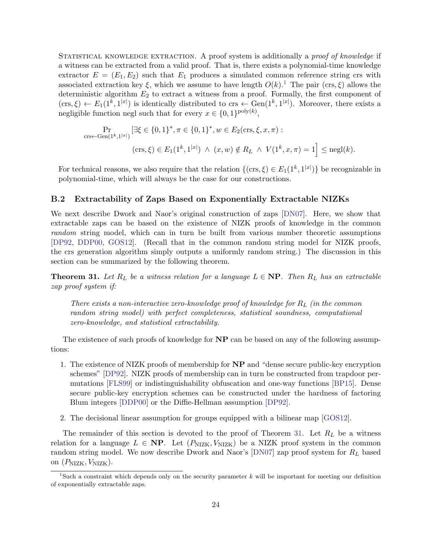STATISTICAL KNOWLEDGE EXTRACTION. A proof system is additionally a *proof of knowledge* if a witness can be extracted from a valid proof. That is, there exists a polynomial-time knowledge extractor  $E = (E_1, E_2)$  such that  $E_1$  produces a simulated common reference string crs with associated extraction key  $\xi$ , which we assume to have length  $O(k)$ .<sup>[1](#page-23-0)</sup> The pair (crs,  $\xi$ ) allows the deterministic algorithm  $E_2$  to extract a witness from a proof. Formally, the first component of  $(\text{crs}, \xi) \leftarrow E_1(1^k, 1^{|x|})$  is identically distributed to  $\text{crs} \leftarrow \text{Gen}(1^k, 1^{|x|})$ . Moreover, there exists a negligible function negl such that for every  $x \in \{0,1\}^{\text{poly}(k)}$ ,

$$
\Pr_{\text{crs} \leftarrow \text{Gen}(1^k, 1^{|x|})} \left[ \exists \xi \in \{0, 1\}^*, \pi \in \{0, 1\}^*, w \in E_2(\text{crs}, \xi, x, \pi) : \right. \\
\left. (\text{crs}, \xi) \in E_1(1^k, 1^{|x|}) \ \wedge \ (x, w) \notin R_L \ \wedge \ V(1^k, x, \pi) = 1 \right] \le \text{negl}(k).
$$

For technical reasons, we also require that the relation  $\{(\text{crs}, \xi) \in E_1(1^k, 1^{|x|})\}$  be recognizable in polynomial-time, which will always be the case for our constructions.

### B.2 Extractability of Zaps Based on Exponentially Extractable NIZKs

We next describe Dwork and Naor's original construction of zaps [\[DN07\]](#page-19-6). Here, we show that extractable zaps can be based on the existence of NIZK proofs of knowledge in the common random string model, which can in turn be built from various number theoretic assumptions [\[DP92,](#page-19-10) [DDP00,](#page-18-8) [GOS12\]](#page-20-13). (Recall that in the common random string model for NIZK proofs, the crs generation algorithm simply outputs a uniformly random string.) The discussion in this section can be summarized by the following theorem.

<span id="page-23-1"></span>**Theorem 31.** Let  $R_L$  be a witness relation for a language  $L \in \mathbf{NP}$ . Then  $R_L$  has an extractable zap proof system if:

There exists a non-interactive zero-knowledge proof of knowledge for  $R_L$  (in the common random string model) with perfect completeness, statistical soundness, computational zero-knowledge, and statistical extractability.

The existence of such proofs of knowledge for  $NP$  can be based on any of the following assumptions:

- 1. The existence of NIZK proofs of membership for  $NP$  and "dense secure public-key encryption schemes" [\[DP92\]](#page-19-10). NIZK proofs of membership can in turn be constructed from trapdoor permutations [\[FLS99\]](#page-19-11) or indistinguishability obfuscation and one-way functions [\[BP15\]](#page-18-9). Dense secure public-key encryption schemes can be constructed under the hardness of factoring Blum integers [\[DDP00\]](#page-18-8) or the Diffie-Hellman assumption [\[DP92\]](#page-19-10).
- 2. The decisional linear assumption for groups equipped with a bilinear map [\[GOS12\]](#page-20-13).

The remainder of this section is devoted to the proof of Theorem [31.](#page-23-1) Let  $R_L$  be a witness relation for a language  $L \in NP$ . Let  $(P_{NIZK}, V_{NIZK})$  be a NIZK proof system in the common random string model. We now describe Dwork and Naor's [\[DN07\]](#page-19-6) zap proof system for  $R_L$  based on  $(P_{\text{NIZK}}, V_{\text{NIZK}})$ .

<span id="page-23-0"></span><sup>&</sup>lt;sup>1</sup>Such a constraint which depends only on the security parameter k will be important for meeting our definition of exponentially extractable zaps.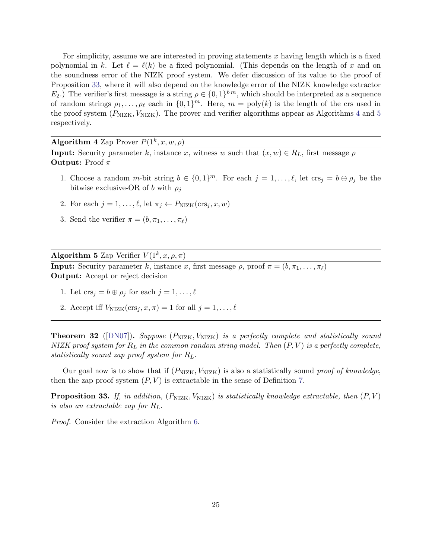For simplicity, assume we are interested in proving statements  $x$  having length which is a fixed polynomial in k. Let  $\ell = \ell(k)$  be a fixed polynomial. (This depends on the length of x and on the soundness error of the NIZK proof system. We defer discussion of its value to the proof of Proposition [33,](#page-24-0) where it will also depend on the knowledge error of the NIZK knowledge extractor  $E_2$ .) The verifier's first message is a string  $\rho \in \{0,1\}^{\ell m}$ , which should be interpreted as a sequence of random strings  $\rho_1, \ldots, \rho_\ell$  each in  $\{0, 1\}^m$ . Here,  $m = \text{poly}(k)$  is the length of the crs used in the proof system  $(P_{NIZK}, V_{NIZK})$ . The prover and verifier algorithms appear as Algorithms [4](#page-24-1) and [5](#page-24-2) respectively.

<span id="page-24-1"></span>Algorithm 4 Zap Prover  $P(1^k, x, w, \rho)$ 

**Input:** Security parameter k, instance x, witness w such that  $(x, w) \in R_L$ , first message  $\rho$ **Output:** Proof  $\pi$ 

- 1. Choose a random m-bit string  $b \in \{0,1\}^m$ . For each  $j = 1, \ldots, \ell$ , let  $\text{crs}_j = b \oplus \rho_j$  be the bitwise exclusive-OR of b with  $\rho_i$
- 2. For each  $j = 1, \ldots, \ell$ , let  $\pi_j \leftarrow P_{NIZK}(\text{crs}_j, x, w)$
- 3. Send the verifier  $\pi = (b, \pi_1, \ldots, \pi_\ell)$

<span id="page-24-2"></span>**Algorithm 5** Zap Verifier  $V(1^k, x, \rho, \pi)$ 

**Input:** Security parameter k, instance x, first message  $\rho$ , proof  $\pi = (b, \pi_1, \dots, \pi_\ell)$ Output: Accept or reject decision

- 1. Let  $\mathrm{crs}_i = b \oplus \rho_i$  for each  $j = 1, \ldots, \ell$
- 2. Accept iff  $V_{\text{NIZK}}(\text{crs}_i, x, \pi) = 1$  for all  $j = 1, \ldots, \ell$

**Theorem 32** ([\[DN07\]](#page-19-6)). Suppose  $(P_{NIZK}, V_{NIZK})$  is a perfectly complete and statistically sound NIZK proof system for  $R_L$  in the common random string model. Then  $(P, V)$  is a perfectly complete, statistically sound zap proof system for  $R_L$ .

Our goal now is to show that if  $(P_{\text{NIZK}}, V_{\text{NIZK}})$  is also a statistically sound proof of knowledge, then the zap proof system  $(P, V)$  is extractable in the sense of Definition [7.](#page-6-0)

<span id="page-24-0"></span>**Proposition 33.** If, in addition,  $(P_{\text{NIZK}}, V_{\text{NIZK}})$  is statistically knowledge extractable, then  $(P, V)$ is also an extractable zap for  $R_L$ .

Proof. Consider the extraction Algorithm [6.](#page-25-0)